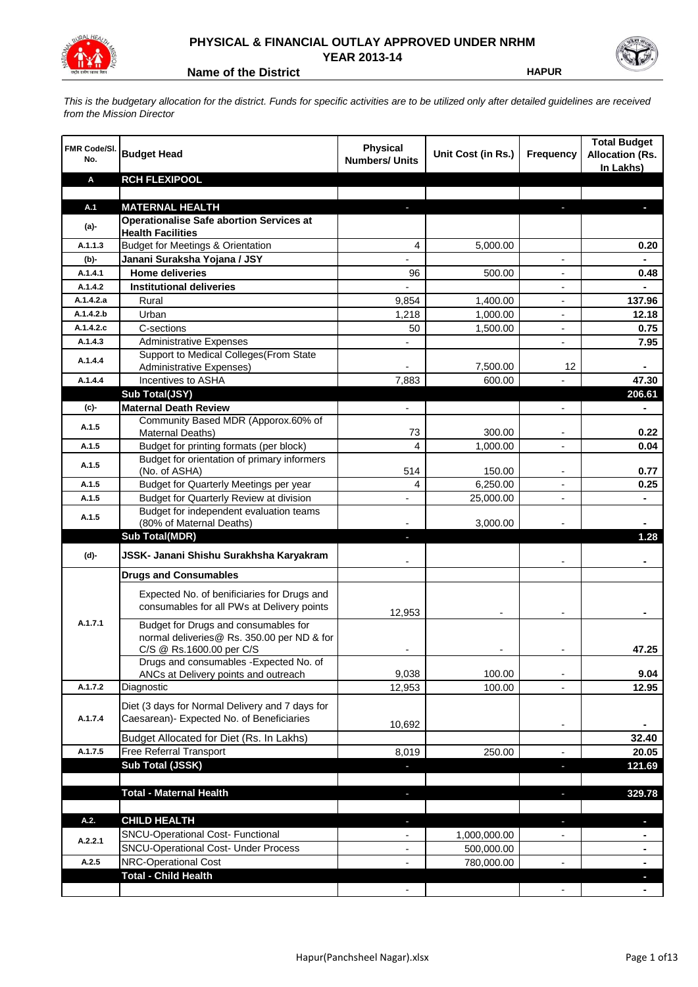

## **PHYSICAL & FINANCIAL OUTLAY APPROVED UNDER NRHM YEAR 2013-14**

**Name of the District HAPUR** 

*This is the budgetary allocation for the district. Funds for specific activities are to be utilized only after detailed guidelines are received from the Mission Director*

| FMR Code/SI.<br>No. | <b>Budget Head</b>                                                                                             | <b>Physical</b><br><b>Numbers/ Units</b> | Unit Cost (in Rs.) | Frequency                | <b>Total Budget</b><br><b>Allocation (Rs.</b><br>In Lakhs) |
|---------------------|----------------------------------------------------------------------------------------------------------------|------------------------------------------|--------------------|--------------------------|------------------------------------------------------------|
| Α                   | <b>RCH FLEXIPOOL</b>                                                                                           |                                          |                    |                          |                                                            |
|                     |                                                                                                                |                                          |                    |                          |                                                            |
| A.1                 | <b>MATERNAL HEALTH</b>                                                                                         |                                          |                    |                          |                                                            |
| $(a)$ -             | <b>Operationalise Safe abortion Services at</b><br><b>Health Facilities</b>                                    |                                          |                    |                          |                                                            |
| A.1.1.3             | <b>Budget for Meetings &amp; Orientation</b>                                                                   | 4                                        | 5,000.00           |                          | 0.20                                                       |
| (b)-                | Janani Suraksha Yojana / JSY                                                                                   |                                          |                    |                          |                                                            |
| A.1.4.1             | <b>Home deliveries</b>                                                                                         | 96                                       | 500.00             |                          | 0.48                                                       |
| A.1.4.2             | <b>Institutional deliveries</b>                                                                                |                                          |                    |                          |                                                            |
| A.1.4.2.a           | Rural                                                                                                          | 9,854                                    | 1,400.00           |                          | 137.96                                                     |
| A.1.4.2.b           | Urban                                                                                                          | 1,218                                    | 1,000.00           |                          | 12.18                                                      |
| A.1.4.2.c           | C-sections                                                                                                     | 50                                       | 1,500.00           |                          | 0.75                                                       |
| A.1.4.3             | <b>Administrative Expenses</b>                                                                                 |                                          |                    | $\overline{a}$           | 7.95                                                       |
| A.1.4.4             | Support to Medical Colleges (From State                                                                        |                                          |                    |                          |                                                            |
|                     | Administrative Expenses)                                                                                       |                                          | 7,500.00           | 12                       |                                                            |
| A.1.4.4             | Incentives to ASHA                                                                                             | 7,883                                    | 600.00             |                          | 47.30                                                      |
|                     | Sub Total(JSY)                                                                                                 |                                          |                    |                          | 206.61                                                     |
| (c)-                | <b>Maternal Death Review</b>                                                                                   | $\overline{\phantom{a}}$                 |                    | $\overline{\phantom{a}}$ | $\blacksquare$                                             |
| A.1.5               | Community Based MDR (Apporox.60% of<br>Maternal Deaths)                                                        | 73                                       | 300.00             | $\blacksquare$           | 0.22                                                       |
| A.1.5               | Budget for printing formats (per block)                                                                        | 4                                        | 1,000.00           |                          | 0.04                                                       |
| A.1.5               | Budget for orientation of primary informers<br>(No. of ASHA)                                                   | 514                                      | 150.00             | $\overline{\phantom{a}}$ | 0.77                                                       |
| A.1.5               | Budget for Quarterly Meetings per year                                                                         | 4                                        | 6,250.00           |                          | 0.25                                                       |
| A.1.5               | Budget for Quarterly Review at division                                                                        | $\overline{\phantom{a}}$                 | 25,000.00          |                          |                                                            |
|                     | Budget for independent evaluation teams                                                                        |                                          |                    |                          |                                                            |
| A.1.5               | (80% of Maternal Deaths)                                                                                       |                                          | 3,000.00           |                          |                                                            |
|                     | <b>Sub Total(MDR)</b>                                                                                          | L.                                       |                    |                          | 1.28                                                       |
| (d)-                | JSSK- Janani Shishu Surakhsha Karyakram                                                                        |                                          |                    |                          |                                                            |
|                     | <b>Drugs and Consumables</b>                                                                                   |                                          |                    |                          |                                                            |
|                     | Expected No. of benificiaries for Drugs and<br>consumables for all PWs at Delivery points                      | 12,953                                   |                    |                          |                                                            |
| A.1.7.1             | Budget for Drugs and consumables for<br>normal deliveries@ Rs. 350.00 per ND & for<br>C/S @ Rs.1600.00 per C/S |                                          |                    |                          | 47.25                                                      |
|                     | Drugs and consumables - Expected No. of                                                                        |                                          |                    |                          |                                                            |
|                     | ANCs at Delivery points and outreach                                                                           | 9,038                                    | 100.00             |                          | 9.04                                                       |
| A.1.7.2             | Diagnostic                                                                                                     | 12,953                                   | 100.00             |                          | 12.95                                                      |
| A.1.7.4             | Diet (3 days for Normal Delivery and 7 days for<br>Caesarean)- Expected No. of Beneficiaries                   | 10,692                                   |                    | $\overline{\phantom{a}}$ |                                                            |
|                     | Budget Allocated for Diet (Rs. In Lakhs)                                                                       |                                          |                    |                          | 32.40                                                      |
| A.1.7.5             | Free Referral Transport                                                                                        | 8,019                                    | 250.00             | $\overline{a}$           | 20.05                                                      |
|                     | Sub Total (JSSK)                                                                                               |                                          |                    | ÷.                       | 121.69                                                     |
|                     |                                                                                                                |                                          |                    |                          |                                                            |
|                     | <b>Total - Maternal Health</b>                                                                                 | J,                                       |                    | $\overline{\phantom{a}}$ | 329.78                                                     |
| A.2.                | <b>CHILD HEALTH</b>                                                                                            |                                          |                    | r.                       | L.                                                         |
|                     | SNCU-Operational Cost- Functional                                                                              |                                          | 1,000,000.00       |                          |                                                            |
| A.2.2.1             | <b>SNCU-Operational Cost- Under Process</b>                                                                    |                                          | 500,000.00         |                          |                                                            |
| A.2.5               | NRC-Operational Cost                                                                                           |                                          | 780,000.00         |                          |                                                            |
|                     | <b>Total - Child Health</b>                                                                                    |                                          |                    |                          |                                                            |
|                     |                                                                                                                |                                          |                    |                          |                                                            |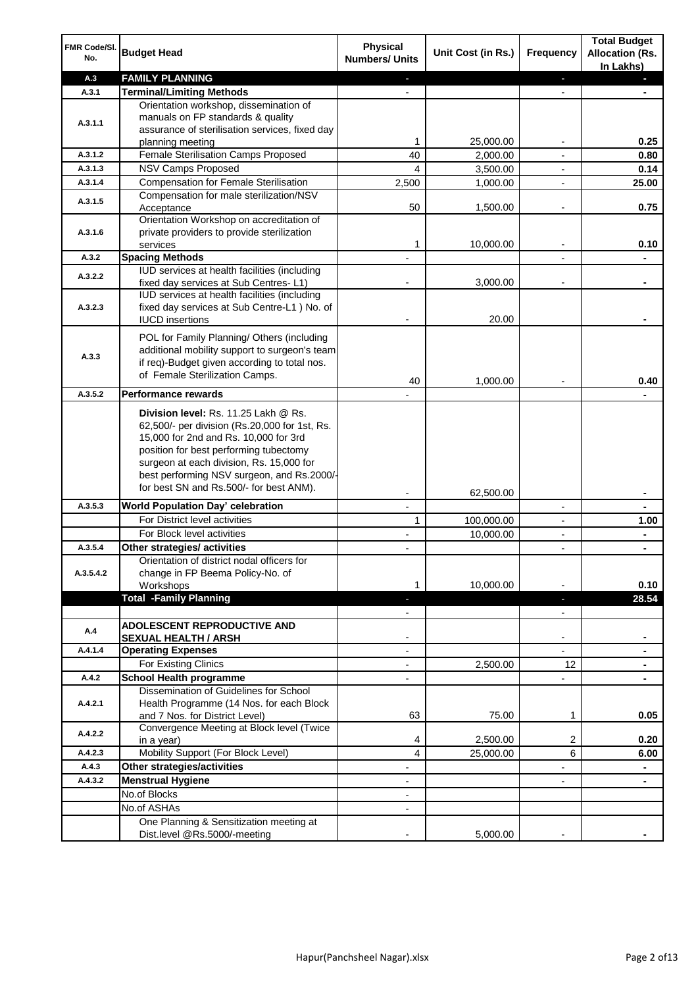| FMR Code/SI.<br>No. | <b>Budget Head</b>                                                                                                                                                                                                                                                                                            | Physical<br><b>Numbers/ Units</b> | Unit Cost (in Rs.) | Frequency                | <b>Total Budget</b><br><b>Allocation (Rs.</b><br>In Lakhs) |
|---------------------|---------------------------------------------------------------------------------------------------------------------------------------------------------------------------------------------------------------------------------------------------------------------------------------------------------------|-----------------------------------|--------------------|--------------------------|------------------------------------------------------------|
| A.3                 | <b>FAMILY PLANNING</b>                                                                                                                                                                                                                                                                                        | ٠                                 |                    | ٠                        |                                                            |
| A.3.1               | <b>Terminal/Limiting Methods</b>                                                                                                                                                                                                                                                                              |                                   |                    |                          |                                                            |
| A.3.1.1             | Orientation workshop, dissemination of<br>manuals on FP standards & quality<br>assurance of sterilisation services, fixed day                                                                                                                                                                                 | 1                                 | 25,000.00          |                          | 0.25                                                       |
| A.3.1.2             | planning meeting<br>Female Sterilisation Camps Proposed                                                                                                                                                                                                                                                       | 40                                |                    |                          |                                                            |
| A.3.1.3             | <b>NSV Camps Proposed</b>                                                                                                                                                                                                                                                                                     | 4                                 | 2,000.00           |                          | 0.80                                                       |
| A.3.1.4             | <b>Compensation for Female Sterilisation</b>                                                                                                                                                                                                                                                                  | 2,500                             | 3,500.00           | $\overline{\phantom{a}}$ | 0.14<br>25.00                                              |
|                     | Compensation for male sterilization/NSV                                                                                                                                                                                                                                                                       |                                   | 1,000.00           |                          |                                                            |
| A.3.1.5             | Acceptance                                                                                                                                                                                                                                                                                                    | 50                                | 1,500.00           |                          | 0.75                                                       |
| A.3.1.6             | Orientation Workshop on accreditation of<br>private providers to provide sterilization                                                                                                                                                                                                                        |                                   |                    |                          |                                                            |
|                     | services                                                                                                                                                                                                                                                                                                      | 1                                 | 10,000.00          |                          | 0.10                                                       |
| A.3.2               | <b>Spacing Methods</b>                                                                                                                                                                                                                                                                                        |                                   |                    |                          |                                                            |
| A.3.2.2             | IUD services at health facilities (including                                                                                                                                                                                                                                                                  |                                   |                    |                          |                                                            |
|                     | fixed day services at Sub Centres-L1)                                                                                                                                                                                                                                                                         |                                   | 3,000.00           |                          | ۰                                                          |
| A.3.2.3             | IUD services at health facilities (including<br>fixed day services at Sub Centre-L1 ) No. of<br><b>IUCD</b> insertions                                                                                                                                                                                        |                                   | 20.00              |                          |                                                            |
| A.3.3               | POL for Family Planning/ Others (including<br>additional mobility support to surgeon's team<br>if req)-Budget given according to total nos.<br>of Female Sterilization Camps.                                                                                                                                 |                                   |                    |                          |                                                            |
| A.3.5.2             | Performance rewards                                                                                                                                                                                                                                                                                           | 40                                | 1,000.00           |                          | 0.40                                                       |
|                     | Division level: Rs. 11.25 Lakh @ Rs.<br>62,500/- per division (Rs.20,000 for 1st, Rs.<br>15,000 for 2nd and Rs. 10,000 for 3rd<br>position for best performing tubectomy<br>surgeon at each division, Rs. 15,000 for<br>best performing NSV surgeon, and Rs.2000/-<br>for best SN and Rs.500/- for best ANM). |                                   |                    |                          |                                                            |
| A.3.5.3             | World Population Day' celebration                                                                                                                                                                                                                                                                             |                                   | 62,500.00          | $\overline{\phantom{a}}$ |                                                            |
|                     | For District level activities                                                                                                                                                                                                                                                                                 | 1                                 | 100,000.00         |                          | 1.00                                                       |
|                     | For Block level activities                                                                                                                                                                                                                                                                                    |                                   | 10,000.00          |                          |                                                            |
| A.3.5.4             | Other strategies/ activities                                                                                                                                                                                                                                                                                  |                                   |                    |                          |                                                            |
| A.3.5.4.2           | Orientation of district nodal officers for<br>change in FP Beema Policy-No. of<br>Workshops                                                                                                                                                                                                                   | 1                                 | 10,000.00          |                          | 0.10                                                       |
|                     | <b>Total -Family Planning</b>                                                                                                                                                                                                                                                                                 | $\blacksquare$                    |                    | ٠                        | 28.54                                                      |
|                     |                                                                                                                                                                                                                                                                                                               |                                   |                    |                          |                                                            |
| Α.4                 | ADOLESCENT REPRODUCTIVE AND<br><b>SEXUAL HEALTH / ARSH</b>                                                                                                                                                                                                                                                    |                                   |                    |                          |                                                            |
| A.4.1.4             | <b>Operating Expenses</b>                                                                                                                                                                                                                                                                                     | $\blacksquare$                    |                    |                          |                                                            |
|                     | For Existing Clinics                                                                                                                                                                                                                                                                                          |                                   | 2,500.00           | 12                       |                                                            |
| A.4.2               | <b>School Health programme</b>                                                                                                                                                                                                                                                                                |                                   |                    | $\overline{a}$           |                                                            |
| A.4.2.1             | Dissemination of Guidelines for School<br>Health Programme (14 Nos. for each Block<br>and 7 Nos. for District Level)                                                                                                                                                                                          | 63                                | 75.00              | $\mathbf 1$              | 0.05                                                       |
| A.4.2.2             | Convergence Meeting at Block level (Twice<br>in a year)                                                                                                                                                                                                                                                       | 4                                 | 2,500.00           | 2                        | 0.20                                                       |
| A.4.2.3             | Mobility Support (For Block Level)                                                                                                                                                                                                                                                                            | 4                                 | 25,000.00          | 6                        | 6.00                                                       |
| A.4.3               | Other strategies/activities                                                                                                                                                                                                                                                                                   |                                   |                    |                          |                                                            |
| A.4.3.2             | <b>Menstrual Hygiene</b>                                                                                                                                                                                                                                                                                      | ٠                                 |                    | $\overline{\phantom{a}}$ | ٠                                                          |
|                     | No.of Blocks                                                                                                                                                                                                                                                                                                  | $\overline{\phantom{a}}$          |                    |                          |                                                            |
|                     | No.of ASHAs                                                                                                                                                                                                                                                                                                   |                                   |                    |                          |                                                            |
|                     | One Planning & Sensitization meeting at<br>Dist.level @Rs.5000/-meeting                                                                                                                                                                                                                                       |                                   | 5,000.00           |                          |                                                            |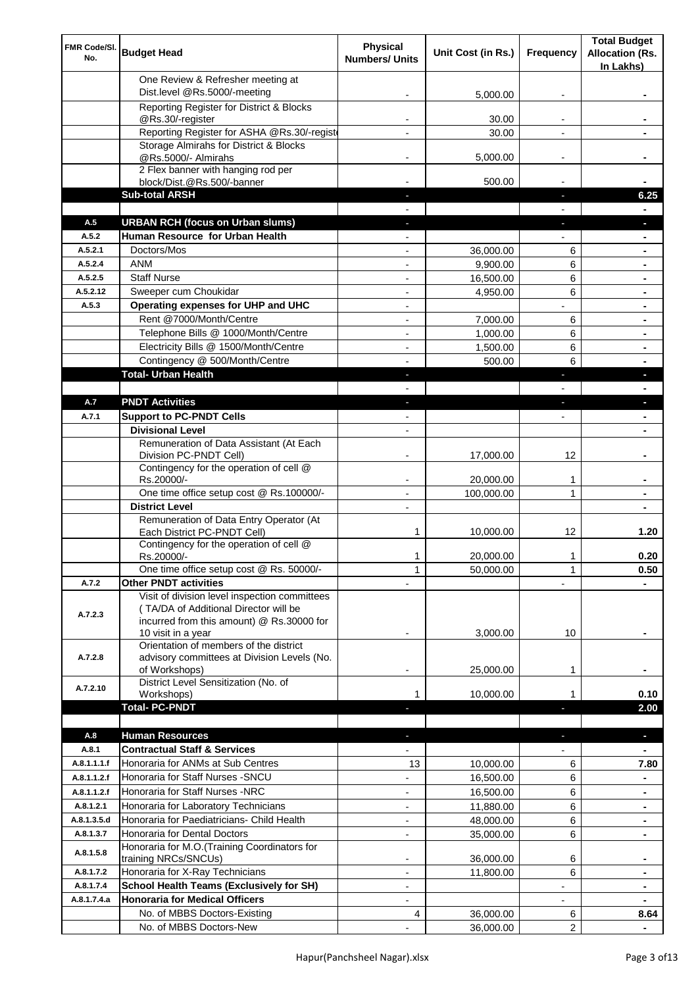| FMR Code/SI.<br>No. | <b>Budget Head</b>                                                                                                                                        | Physical<br><b>Numbers/ Units</b> | Unit Cost (in Rs.)    | Frequency                     | <b>Total Budget</b><br><b>Allocation (Rs.</b> |
|---------------------|-----------------------------------------------------------------------------------------------------------------------------------------------------------|-----------------------------------|-----------------------|-------------------------------|-----------------------------------------------|
|                     | One Review & Refresher meeting at                                                                                                                         |                                   |                       |                               | In Lakhs)                                     |
|                     | Dist.level @Rs.5000/-meeting                                                                                                                              |                                   | 5,000.00              |                               |                                               |
|                     | Reporting Register for District & Blocks                                                                                                                  |                                   |                       |                               |                                               |
|                     | @Rs.30/-register                                                                                                                                          |                                   | 30.00                 |                               |                                               |
|                     | Reporting Register for ASHA @Rs.30/-regist                                                                                                                |                                   | 30.00                 | $\overline{a}$                |                                               |
|                     | Storage Almirahs for District & Blocks                                                                                                                    | $\blacksquare$                    |                       |                               |                                               |
|                     | @Rs.5000/- Almirahs<br>2 Flex banner with hanging rod per                                                                                                 |                                   | 5,000.00              | $\overline{\phantom{a}}$      |                                               |
|                     | block/Dist.@Rs.500/-banner                                                                                                                                |                                   | 500.00                |                               |                                               |
|                     | <b>Sub-total ARSH</b>                                                                                                                                     |                                   |                       | a,                            | 6.25                                          |
|                     |                                                                                                                                                           |                                   |                       |                               |                                               |
| A.5                 | <b>URBAN RCH (focus on Urban slums)</b>                                                                                                                   |                                   |                       |                               |                                               |
| A.5.2<br>A.5.2.1    | Human Resource for Urban Health<br>Doctors/Mos                                                                                                            |                                   |                       |                               |                                               |
| A.5.2.4             | <b>ANM</b>                                                                                                                                                |                                   | 36,000.00<br>9,900.00 | 6<br>6                        |                                               |
| A.5.2.5             | <b>Staff Nurse</b>                                                                                                                                        |                                   | 16,500.00             | 6                             |                                               |
| A.5.2.12            | Sweeper cum Choukidar                                                                                                                                     |                                   | 4,950.00              | 6                             |                                               |
| A.5.3               | Operating expenses for UHP and UHC                                                                                                                        |                                   |                       |                               | $\blacksquare$                                |
|                     | Rent @7000/Month/Centre                                                                                                                                   | $\blacksquare$                    | 7,000.00              | 6                             |                                               |
|                     | Telephone Bills @ 1000/Month/Centre                                                                                                                       | $\blacksquare$                    | 1,000.00              | 6                             | ۰                                             |
|                     | Electricity Bills @ 1500/Month/Centre                                                                                                                     | $\overline{a}$                    | 1,500.00              | 6                             | ۰                                             |
|                     | Contingency @ 500/Month/Centre                                                                                                                            | $\overline{a}$                    | 500.00                | 6                             | ۰                                             |
|                     | <b>Total- Urban Health</b>                                                                                                                                | $\blacksquare$                    |                       | ×                             | L,                                            |
| A.7                 | <b>PNDT Activities</b>                                                                                                                                    |                                   |                       |                               |                                               |
| A.7.1               | <b>Support to PC-PNDT Cells</b>                                                                                                                           | ٠                                 |                       | ×<br>$\overline{\phantom{a}}$ | ٠                                             |
|                     | <b>Divisional Level</b>                                                                                                                                   | $\blacksquare$                    |                       |                               | ۰<br>٠                                        |
|                     | Remuneration of Data Assistant (At Each                                                                                                                   |                                   |                       |                               |                                               |
|                     | Division PC-PNDT Cell)                                                                                                                                    |                                   | 17,000.00             | 12                            |                                               |
|                     | Contingency for the operation of cell @<br>Rs.20000/-                                                                                                     |                                   | 20,000.00             | 1                             |                                               |
|                     | One time office setup cost @ Rs.100000/-                                                                                                                  |                                   | 100,000.00            | 1                             |                                               |
|                     | <b>District Level</b>                                                                                                                                     |                                   |                       |                               |                                               |
|                     | Remuneration of Data Entry Operator (At                                                                                                                   |                                   |                       |                               |                                               |
|                     | Each District PC-PNDT Cell)                                                                                                                               | 1                                 | 10,000.00             | 12                            | 1.20                                          |
|                     | Contingency for the operation of cell @<br>Rs.20000/-                                                                                                     | 1                                 | 20,000.00             | 1                             | 0.20                                          |
|                     | One time office setup cost @ Rs. 50000/-                                                                                                                  | 1                                 | 50,000.00             | 1                             | 0.50                                          |
| A.7.2               | <b>Other PNDT activities</b>                                                                                                                              |                                   |                       |                               |                                               |
| A.7.2.3             | Visit of division level inspection committees<br>(TA/DA of Additional Director will be<br>incurred from this amount) @ Rs.30000 for<br>10 visit in a year |                                   | 3,000.00              | 10                            |                                               |
| A.7.2.8             | Orientation of members of the district<br>advisory committees at Division Levels (No.<br>of Workshops)                                                    | -                                 | 25,000.00             | 1                             |                                               |
| A.7.2.10            | District Level Sensitization (No. of                                                                                                                      |                                   |                       |                               |                                               |
|                     | Workshops)<br><b>Total- PC-PNDT</b>                                                                                                                       | 1                                 | 10,000.00             |                               | 0.10<br>2.00                                  |
|                     |                                                                                                                                                           |                                   |                       |                               |                                               |
| A.8                 | <b>Human Resources</b>                                                                                                                                    |                                   |                       | J,                            | ×.                                            |
| A.8.1               | <b>Contractual Staff &amp; Services</b>                                                                                                                   |                                   |                       |                               |                                               |
| A.8.1.1.1.f         | Honoraria for ANMs at Sub Centres                                                                                                                         | 13                                | 10,000.00             | 6                             | 7.80                                          |
| A.8.1.1.2.f         | Honoraria for Staff Nurses - SNCU                                                                                                                         |                                   | 16,500.00             | 6                             |                                               |
| A.8.1.1.2.f         | Honoraria for Staff Nurses -NRC                                                                                                                           | $\overline{\phantom{a}}$          | 16,500.00             | 6                             | $\blacksquare$                                |
| A.8.1.2.1           | Honoraria for Laboratory Technicians                                                                                                                      |                                   | 11,880.00             | 6                             | ۰                                             |
| A.8.1.3.5.d         | Honoraria for Paediatricians- Child Health                                                                                                                |                                   | 48,000.00             | 6                             |                                               |
| A.8.1.3.7           | Honoraria for Dental Doctors                                                                                                                              | $\overline{a}$                    | 35,000.00             | 6                             |                                               |
| A.8.1.5.8           | Honoraria for M.O.(Training Coordinators for<br>training NRCs/SNCUs)                                                                                      |                                   | 36,000.00             | 6                             |                                               |
| A.8.1.7.2           | Honoraria for X-Ray Technicians                                                                                                                           |                                   | 11,800.00             | 6                             | ٠                                             |
| A.8.1.7.4           | <b>School Health Teams (Exclusively for SH)</b>                                                                                                           |                                   |                       |                               | ۰                                             |
| A.8.1.7.4.a         | <b>Honoraria for Medical Officers</b>                                                                                                                     |                                   |                       |                               |                                               |
|                     | No. of MBBS Doctors-Existing                                                                                                                              | 4                                 | 36,000.00             | 6                             | 8.64                                          |
|                     | No. of MBBS Doctors-New                                                                                                                                   |                                   | 36,000.00             | 2                             |                                               |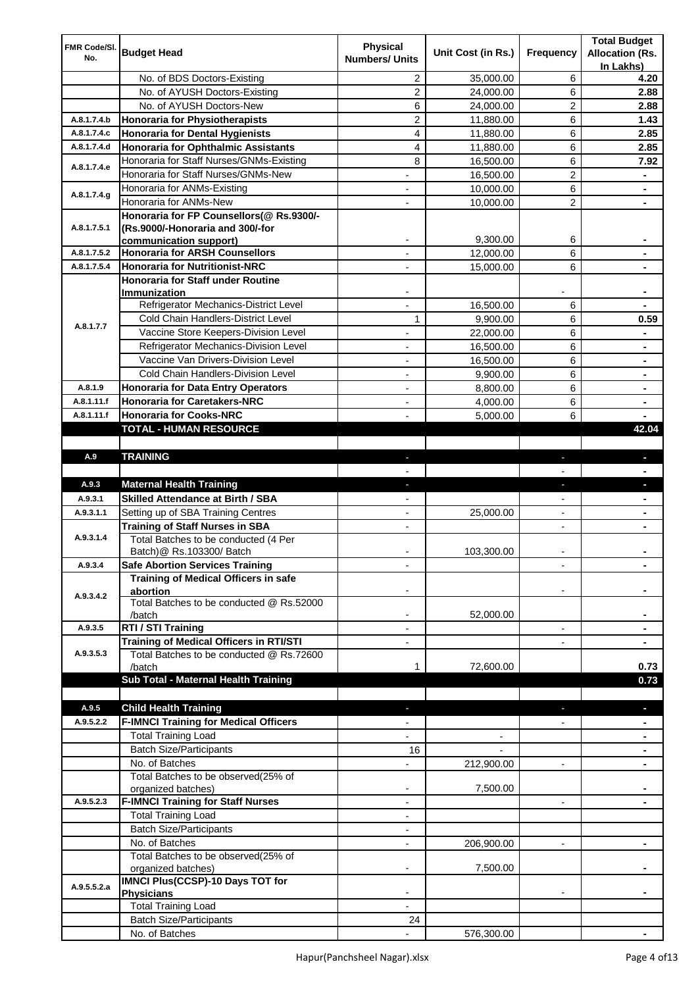| FMR Code/SI.<br>No. | <b>Budget Head</b>                                                 | <b>Physical</b><br><b>Numbers/ Units</b> | Unit Cost (in Rs.) | Frequency                | <b>Total Budget</b><br><b>Allocation (Rs.</b> |
|---------------------|--------------------------------------------------------------------|------------------------------------------|--------------------|--------------------------|-----------------------------------------------|
|                     |                                                                    |                                          |                    |                          | In Lakhs)                                     |
|                     | No. of BDS Doctors-Existing                                        | 2                                        | 35,000.00          | 6                        | 4.20                                          |
|                     | No. of AYUSH Doctors-Existing                                      | $\overline{c}$                           | 24,000.00          | 6                        | 2.88                                          |
|                     | No. of AYUSH Doctors-New                                           | 6                                        | 24,000.00          | 2                        | 2.88                                          |
| A.8.1.7.4.b         | <b>Honoraria for Physiotherapists</b>                              | $\overline{c}$                           | 11,880.00          | 6                        | 1.43                                          |
| A.8.1.7.4.c         | <b>Honoraria for Dental Hygienists</b>                             | 4                                        | 11,880.00          | 6                        | 2.85                                          |
| A.8.1.7.4.d         | <b>Honoraria for Ophthalmic Assistants</b>                         | 4                                        | 11,880.00          | 6                        | 2.85                                          |
| A.8.1.7.4.e         | Honoraria for Staff Nurses/GNMs-Existing                           | 8                                        | 16,500.00          | 6                        | 7.92                                          |
|                     | Honoraria for Staff Nurses/GNMs-New                                |                                          | 16,500.00          | 2                        |                                               |
| A.8.1.7.4.g         | Honoraria for ANMs-Existing                                        |                                          | 10,000.00          | 6                        |                                               |
|                     | Honoraria for ANMs-New<br>Honoraria for FP Counsellors(@ Rs.9300/- |                                          | 10,000.00          | $\overline{2}$           |                                               |
| A.8.1.7.5.1         | (Rs.9000/-Honoraria and 300/-for                                   |                                          |                    |                          |                                               |
|                     | communication support)                                             |                                          | 9,300.00           | 6                        |                                               |
| A.8.1.7.5.2         | <b>Honoraria for ARSH Counsellors</b>                              |                                          | 12,000.00          | 6                        |                                               |
| A.8.1.7.5.4         | <b>Honoraria for Nutritionist-NRC</b>                              |                                          | 15,000.00          | 6                        |                                               |
|                     | <b>Honoraria for Staff under Routine</b>                           |                                          |                    |                          |                                               |
|                     | <b>Immunization</b>                                                |                                          |                    |                          |                                               |
|                     | Refrigerator Mechanics-District Level                              | $\overline{a}$                           | 16,500.00          | 6                        |                                               |
| A.8.1.7.7           | Cold Chain Handlers-District Level                                 | 1                                        | 9,900.00           | 6                        | 0.59                                          |
|                     | Vaccine Store Keepers-Division Level                               | $\blacksquare$                           | 22,000.00          | 6                        | $\blacksquare$                                |
|                     | Refrigerator Mechanics-Division Level                              | $\overline{\phantom{a}}$                 | 16,500.00          | 6                        | ٠                                             |
|                     | Vaccine Van Drivers-Division Level                                 | $\overline{\phantom{a}}$                 | 16,500.00          | 6                        | ۰                                             |
|                     | Cold Chain Handlers-Division Level                                 | $\overline{\phantom{a}}$                 | 9,900.00           | 6                        | ۰                                             |
| A.8.1.9             | <b>Honoraria for Data Entry Operators</b>                          | $\overline{\phantom{a}}$                 | 8,800.00           | 6                        | ۰                                             |
| A.8.1.11.f          | <b>Honoraria for Caretakers-NRC</b>                                | -                                        | 4,000.00           | 6                        | ۰                                             |
| A.8.1.11.f          | <b>Honoraria for Cooks-NRC</b>                                     |                                          | 5,000.00           | 6                        |                                               |
|                     | <b>TOTAL - HUMAN RESOURCE</b>                                      |                                          |                    |                          | 42.04                                         |
|                     |                                                                    |                                          |                    |                          |                                               |
| A.9                 | <b>TRAINING</b>                                                    | $\overline{\phantom{a}}$                 |                    |                          |                                               |
|                     |                                                                    |                                          |                    |                          |                                               |
| A.9.3               | <b>Maternal Health Training</b>                                    |                                          |                    |                          |                                               |
| A.9.3.1             | <b>Skilled Attendance at Birth / SBA</b>                           |                                          |                    |                          |                                               |
| A.9.3.1.1           | Setting up of SBA Training Centres                                 |                                          | 25,000.00          |                          |                                               |
|                     | <b>Training of Staff Nurses in SBA</b>                             |                                          |                    |                          |                                               |
| A.9.3.1.4           | Total Batches to be conducted (4 Per                               |                                          |                    |                          |                                               |
| A.9.3.4             | Batch)@ Rs.103300/ Batch<br><b>Safe Abortion Services Training</b> |                                          | 103,300.00         | $\overline{\phantom{a}}$ |                                               |
|                     | Training of Medical Officers in safe                               |                                          |                    |                          | ۰                                             |
|                     | abortion                                                           |                                          |                    |                          |                                               |
| A.9.3.4.2           | Total Batches to be conducted @ Rs.52000                           |                                          |                    |                          |                                               |
|                     | /batch                                                             |                                          | 52,000.00          |                          |                                               |
| A.9.3.5             | RTI / STI Training                                                 | $\overline{a}$                           |                    | $\overline{\phantom{a}}$ |                                               |
|                     | <b>Training of Medical Officers in RTI/STI</b>                     | $\overline{a}$                           |                    | $\blacksquare$           | ٠                                             |
| A.9.3.5.3           | Total Batches to be conducted @ Rs.72600                           |                                          |                    |                          |                                               |
|                     | /batch                                                             | 1                                        | 72,600.00          |                          | 0.73                                          |
|                     | Sub Total - Maternal Health Training                               |                                          |                    |                          | 0.73                                          |
|                     |                                                                    |                                          |                    |                          |                                               |
| A.9.5               | <b>Child Health Training</b>                                       |                                          |                    |                          |                                               |
| A.9.5.2.2           | <b>F-IMNCI Training for Medical Officers</b>                       |                                          |                    |                          |                                               |
|                     | <b>Total Training Load</b>                                         |                                          |                    |                          |                                               |
|                     | <b>Batch Size/Participants</b>                                     | 16                                       |                    |                          |                                               |
|                     | No. of Batches                                                     |                                          | 212,900.00         |                          |                                               |
|                     | Total Batches to be observed(25% of<br>organized batches)          |                                          | 7,500.00           |                          |                                               |
| A.9.5.2.3           | <b>F-IMNCI Training for Staff Nurses</b>                           |                                          |                    | $\overline{\phantom{a}}$ |                                               |
|                     | <b>Total Training Load</b>                                         | $\blacksquare$                           |                    |                          |                                               |
|                     | <b>Batch Size/Participants</b>                                     |                                          |                    |                          |                                               |
|                     | No. of Batches                                                     |                                          | 206,900.00         |                          |                                               |
|                     | Total Batches to be observed(25% of                                |                                          |                    |                          |                                               |
|                     | organized batches)                                                 |                                          | 7,500.00           |                          |                                               |
| A.9.5.5.2.a         | <b>IMNCI Plus(CCSP)-10 Days TOT for</b>                            |                                          |                    |                          |                                               |
|                     | <b>Physicians</b>                                                  |                                          |                    |                          |                                               |
|                     | <b>Total Training Load</b>                                         |                                          |                    |                          |                                               |
|                     | <b>Batch Size/Participants</b>                                     | 24                                       |                    |                          |                                               |
|                     | No. of Batches                                                     |                                          | 576,300.00         |                          |                                               |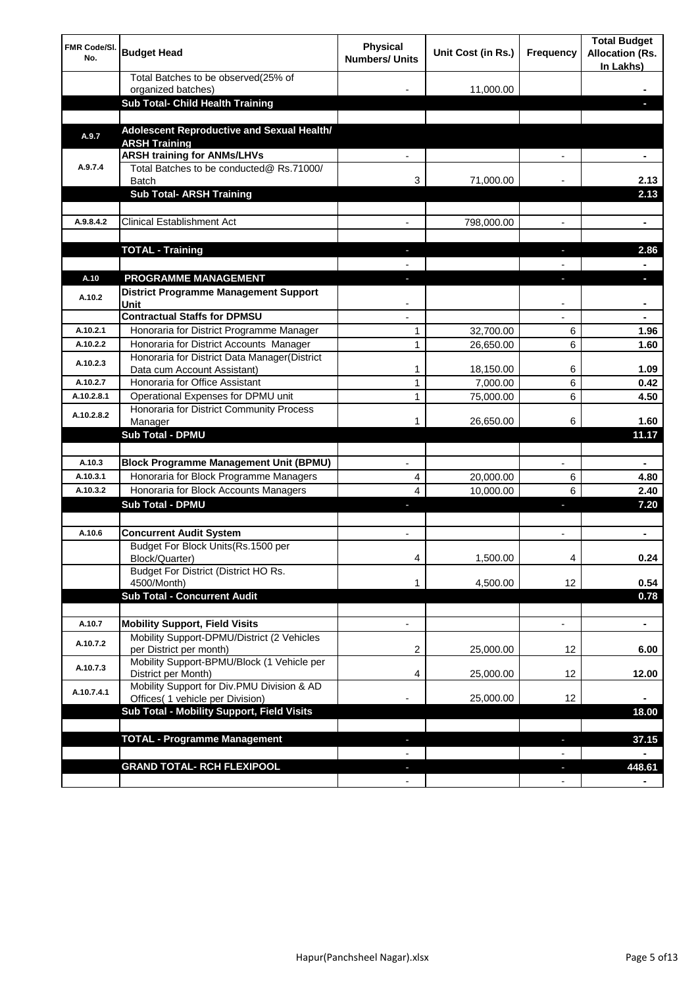| <b>FMR Code/SI.</b><br>No. | <b>Budget Head</b>                                                             | Physical<br><b>Numbers/ Units</b> | Unit Cost (in Rs.) | Frequency                      | <b>Total Budget</b><br><b>Allocation (Rs.</b><br>In Lakhs) |
|----------------------------|--------------------------------------------------------------------------------|-----------------------------------|--------------------|--------------------------------|------------------------------------------------------------|
|                            | Total Batches to be observed(25% of                                            |                                   |                    |                                |                                                            |
|                            | organized batches)<br>Sub Total- Child Health Training                         |                                   | 11,000.00          |                                |                                                            |
|                            |                                                                                |                                   |                    |                                |                                                            |
| A.9.7                      | Adolescent Reproductive and Sexual Health/<br><b>ARSH Training</b>             |                                   |                    |                                |                                                            |
|                            | <b>ARSH training for ANMs/LHVs</b>                                             |                                   |                    |                                |                                                            |
| A.9.7.4                    | Total Batches to be conducted@ Rs.71000/<br>Batch                              | 3                                 | 71,000.00          |                                | 2.13                                                       |
|                            | <b>Sub Total- ARSH Training</b>                                                |                                   |                    |                                | 2.13                                                       |
|                            |                                                                                |                                   |                    |                                |                                                            |
| A.9.8.4.2                  | <b>Clinical Establishment Act</b>                                              |                                   | 798,000.00         |                                | ä,                                                         |
|                            | <b>TOTAL - Training</b>                                                        |                                   |                    |                                | 2.86                                                       |
|                            |                                                                                |                                   |                    |                                |                                                            |
| A.10                       | <b>PROGRAMME MANAGEMENT</b>                                                    |                                   |                    |                                |                                                            |
| A.10.2                     | <b>District Programme Management Support</b><br>Unit                           |                                   |                    |                                |                                                            |
|                            | <b>Contractual Staffs for DPMSU</b>                                            |                                   |                    |                                | ٠                                                          |
| A.10.2.1                   | Honoraria for District Programme Manager                                       | 1                                 | 32,700.00          | 6                              | 1.96                                                       |
| A.10.2.2                   | Honoraria for District Accounts Manager                                        | 1                                 | 26,650.00          | 6                              | 1.60                                                       |
| A.10.2.3                   | Honoraria for District Data Manager(District<br>Data cum Account Assistant)    | 1                                 | 18,150.00          | 6                              | 1.09                                                       |
| A.10.2.7                   | Honoraria for Office Assistant                                                 | 1                                 | 7,000.00           | 6                              | 0.42                                                       |
| A.10.2.8.1                 | Operational Expenses for DPMU unit                                             | 1                                 | 75,000.00          | 6                              | 4.50                                                       |
| A.10.2.8.2                 | Honoraria for District Community Process                                       |                                   |                    |                                |                                                            |
|                            | Manager                                                                        | 1                                 | 26,650.00          | 6                              | 1.60                                                       |
|                            | <b>Sub Total - DPMU</b>                                                        |                                   |                    |                                | 11.17                                                      |
| A.10.3                     | <b>Block Programme Management Unit (BPMU)</b>                                  |                                   |                    | $\overline{\phantom{a}}$       | ٠                                                          |
| A.10.3.1                   | Honoraria for Block Programme Managers                                         | 4                                 | 20,000.00          | 6                              | 4.80                                                       |
| A.10.3.2                   | Honoraria for Block Accounts Managers                                          | 4                                 | 10,000.00          | 6                              | 2.40                                                       |
|                            | <b>Sub Total - DPMU</b>                                                        |                                   |                    | r                              | 7.20                                                       |
|                            |                                                                                |                                   |                    |                                |                                                            |
| A.10.6                     | <b>Concurrent Audit System</b>                                                 |                                   |                    |                                | ۰                                                          |
|                            | Budget For Block Units(Rs.1500 per<br>Block/Quarter)                           |                                   | 1,500.00           |                                | 0.24                                                       |
|                            | Budget For District (District HO Rs.<br>4500/Month)                            | 1                                 | 4,500.00           | 12                             | 0.54                                                       |
|                            | <b>Sub Total - Concurrent Audit</b>                                            |                                   |                    |                                | 0.78                                                       |
|                            |                                                                                |                                   |                    |                                |                                                            |
| A.10.7                     | <b>Mobility Support, Field Visits</b>                                          |                                   |                    | $\overline{\phantom{a}}$       | $\blacksquare$                                             |
| A.10.7.2                   | Mobility Support-DPMU/District (2 Vehicles<br>per District per month)          | 2                                 | 25,000.00          | 12                             | 6.00                                                       |
| A.10.7.3                   | Mobility Support-BPMU/Block (1 Vehicle per<br>District per Month)              | 4                                 | 25,000.00          | 12                             | 12.00                                                      |
| A.10.7.4.1                 | Mobility Support for Div.PMU Division & AD<br>Offices( 1 vehicle per Division) |                                   | 25,000.00          | 12                             |                                                            |
|                            | Sub Total - Mobility Support, Field Visits                                     |                                   |                    |                                | 18.00                                                      |
|                            |                                                                                |                                   |                    |                                |                                                            |
|                            | <b>TOTAL - Programme Management</b>                                            |                                   |                    | ı                              | 37.15                                                      |
|                            |                                                                                |                                   |                    |                                |                                                            |
|                            | <b>GRAND TOTAL- RCH FLEXIPOOL</b>                                              | E.<br>$\blacksquare$              |                    | J,<br>$\overline{\phantom{a}}$ | 448.61                                                     |
|                            |                                                                                |                                   |                    |                                |                                                            |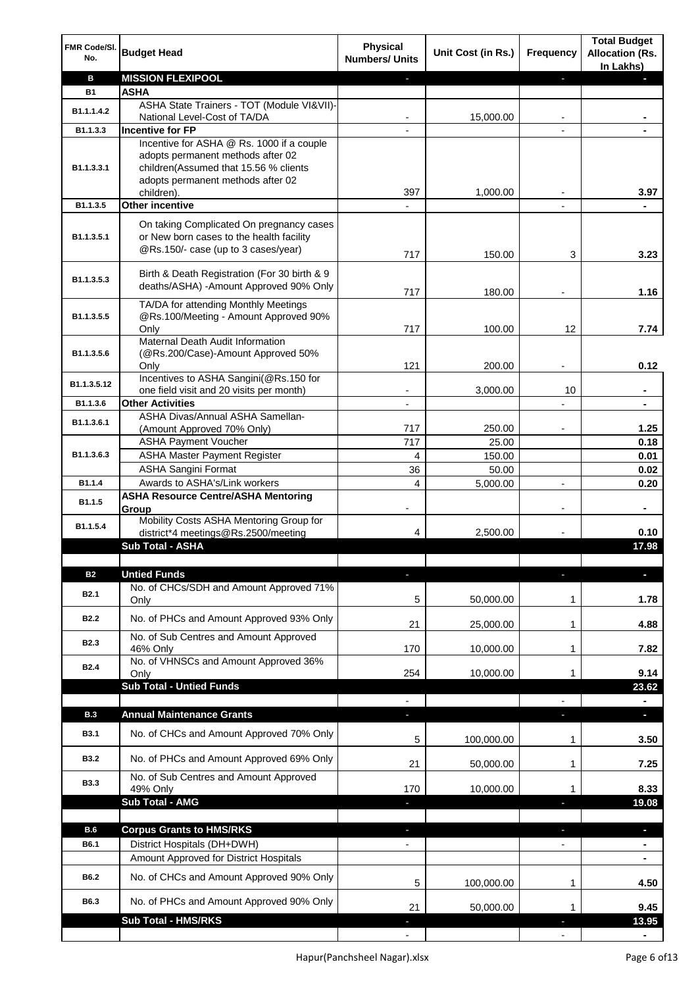| FMR Code/SI.<br>No. | <b>Budget Head</b>                                                                                                          | <b>Physical</b><br><b>Numbers/ Units</b> | Unit Cost (in Rs.) | Frequency                | <b>Total Budget</b><br><b>Allocation (Rs.</b><br>In Lakhs) |
|---------------------|-----------------------------------------------------------------------------------------------------------------------------|------------------------------------------|--------------------|--------------------------|------------------------------------------------------------|
| в                   | <b>MISSION FLEXIPOOL</b>                                                                                                    |                                          |                    | J,                       |                                                            |
| <b>B1</b>           | <b>ASHA</b>                                                                                                                 |                                          |                    |                          |                                                            |
| B1.1.1.4.2          | ASHA State Trainers - TOT (Module VI&VII)-                                                                                  |                                          |                    |                          |                                                            |
| B1.1.3.3            | National Level-Cost of TA/DA<br><b>Incentive for FP</b>                                                                     |                                          | 15,000.00          |                          |                                                            |
|                     | Incentive for ASHA @ Rs. 1000 if a couple                                                                                   |                                          |                    |                          |                                                            |
| B1.1.3.3.1          | adopts permanent methods after 02<br>children(Assumed that 15.56 % clients<br>adopts permanent methods after 02             |                                          |                    |                          |                                                            |
|                     | children).                                                                                                                  | 397                                      | 1,000.00           |                          | 3.97                                                       |
| B1.1.3.5            | <b>Other incentive</b>                                                                                                      | $\blacksquare$                           |                    | $\blacksquare$           |                                                            |
| B1.1.3.5.1          | On taking Complicated On pregnancy cases<br>or New born cases to the health facility<br>@Rs.150/- case (up to 3 cases/year) | 717                                      | 150.00             | 3                        | 3.23                                                       |
| B1.1.3.5.3          | Birth & Death Registration (For 30 birth & 9<br>deaths/ASHA) -Amount Approved 90% Only                                      |                                          | 180.00             |                          |                                                            |
|                     | TA/DA for attending Monthly Meetings                                                                                        | 717                                      |                    |                          | 1.16                                                       |
| B1.1.3.5.5          | @Rs.100/Meeting - Amount Approved 90%<br>Only                                                                               | 717                                      | 100.00             | 12                       | 7.74                                                       |
|                     | Maternal Death Audit Information                                                                                            |                                          |                    |                          |                                                            |
| B1.1.3.5.6          | (@Rs.200/Case)-Amount Approved 50%                                                                                          | 121                                      | 200.00             |                          | 0.12                                                       |
|                     | Only<br>Incentives to ASHA Sangini(@Rs.150 for                                                                              |                                          |                    |                          |                                                            |
| B1.1.3.5.12         | one field visit and 20 visits per month)                                                                                    |                                          | 3,000.00           | 10                       | ä,                                                         |
| B1.1.3.6            | <b>Other Activities</b>                                                                                                     | $\blacksquare$                           |                    | $\overline{a}$           | $\blacksquare$                                             |
| B1.1.3.6.1          | ASHA Divas/Annual ASHA Samellan-                                                                                            |                                          |                    |                          |                                                            |
|                     | (Amount Approved 70% Only)<br><b>ASHA Payment Voucher</b>                                                                   | 717<br>717                               | 250.00<br>25.00    |                          | 1.25<br>0.18                                               |
| B1.1.3.6.3          | <b>ASHA Master Payment Register</b>                                                                                         | 4                                        | 150.00             |                          | 0.01                                                       |
|                     | <b>ASHA Sangini Format</b>                                                                                                  | 36                                       | 50.00              |                          | 0.02                                                       |
| B1.1.4              | Awards to ASHA's/Link workers                                                                                               | 4                                        | 5,000.00           | $\overline{a}$           | 0.20                                                       |
| B1.1.5              | <b>ASHA Resource Centre/ASHA Mentoring</b><br>Group                                                                         | $\overline{\phantom{a}}$                 |                    | $\overline{\phantom{a}}$ | ۰                                                          |
| B1.1.5.4            | Mobility Costs ASHA Mentoring Group for<br>district*4 meetings@Rs.2500/meeting                                              | 4                                        | 2,500.00           |                          | 0.10                                                       |
|                     | <b>Sub Total - ASHA</b>                                                                                                     |                                          |                    |                          | 17.98                                                      |
| <b>B2</b>           | <b>Untied Funds</b>                                                                                                         |                                          |                    |                          |                                                            |
| B <sub>2.1</sub>    | No. of CHCs/SDH and Amount Approved 71%<br>Only                                                                             | 5                                        | 50,000.00          | 1                        | 1.78                                                       |
| <b>B2.2</b>         | No. of PHCs and Amount Approved 93% Only                                                                                    |                                          |                    |                          |                                                            |
|                     | No. of Sub Centres and Amount Approved                                                                                      | 21                                       | 25,000.00          | 1                        | 4.88                                                       |
| B <sub>2.3</sub>    | 46% Only                                                                                                                    | 170                                      | 10,000.00          | 1                        | 7.82                                                       |
| <b>B2.4</b>         | No. of VHNSCs and Amount Approved 36%                                                                                       |                                          |                    |                          |                                                            |
|                     | Only<br><b>Sub Total - Untied Funds</b>                                                                                     | 254                                      | 10,000.00          | 1                        | 9.14                                                       |
|                     |                                                                                                                             |                                          |                    |                          | 23.62                                                      |
| <b>B.3</b>          | <b>Annual Maintenance Grants</b>                                                                                            | J,                                       |                    | T                        | $\overline{\phantom{a}}$                                   |
| <b>B3.1</b>         | No. of CHCs and Amount Approved 70% Only                                                                                    | 5                                        | 100,000.00         | 1                        | 3.50                                                       |
| <b>B3.2</b>         | No. of PHCs and Amount Approved 69% Only                                                                                    | 21                                       | 50,000.00          | 1                        | 7.25                                                       |
| <b>B3.3</b>         | No. of Sub Centres and Amount Approved                                                                                      |                                          |                    |                          |                                                            |
|                     | 49% Only<br><b>Sub Total - AMG</b>                                                                                          | 170                                      | 10,000.00          | 1                        | 8.33                                                       |
|                     |                                                                                                                             |                                          |                    | п                        | 19.08                                                      |
| <b>B.6</b>          | <b>Corpus Grants to HMS/RKS</b>                                                                                             | J,                                       |                    | ı                        | D.                                                         |
| B6.1                | District Hospitals (DH+DWH)                                                                                                 |                                          |                    | $\overline{\phantom{0}}$ | $\blacksquare$                                             |
|                     | Amount Approved for District Hospitals                                                                                      |                                          |                    |                          |                                                            |
| B6.2                | No. of CHCs and Amount Approved 90% Only                                                                                    | 5                                        | 100,000.00         | 1                        | 4.50                                                       |
| B6.3                | No. of PHCs and Amount Approved 90% Only                                                                                    | 21                                       | 50,000.00          | 1                        | 9.45                                                       |
|                     | <b>Sub Total - HMS/RKS</b>                                                                                                  |                                          |                    |                          | 13.95                                                      |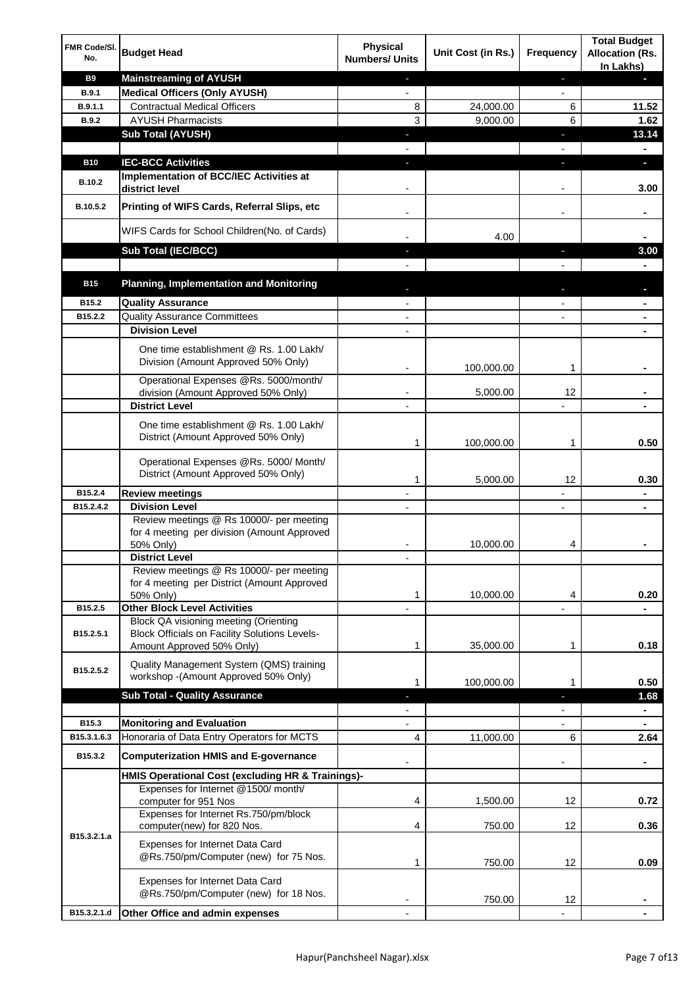| FMR Code/SI.<br>No. | <b>Budget Head</b>                                                                                                         | Physical<br><b>Numbers/ Units</b> | Unit Cost (in Rs.) | Frequency                | <b>Total Budget</b><br><b>Allocation (Rs.</b><br>In Lakhs) |
|---------------------|----------------------------------------------------------------------------------------------------------------------------|-----------------------------------|--------------------|--------------------------|------------------------------------------------------------|
| <b>B9</b>           | <b>Mainstreaming of AYUSH</b>                                                                                              | ٠                                 |                    | ٠                        | ٠                                                          |
| <b>B.9.1</b>        | <b>Medical Officers (Only AYUSH)</b>                                                                                       | $\blacksquare$                    |                    | $\overline{\phantom{a}}$ |                                                            |
| B.9.1.1             | <b>Contractual Medical Officers</b>                                                                                        | 8                                 | 24,000.00          | 6                        | 11.52                                                      |
| <b>B.9.2</b>        | <b>AYUSH Pharmacists</b>                                                                                                   | 3                                 | 9,000.00           | 6                        | 1.62                                                       |
|                     | <b>Sub Total (AYUSH)</b>                                                                                                   | ٠                                 |                    | J,                       | 13.14                                                      |
| <b>B10</b>          | <b>IEC-BCC Activities</b>                                                                                                  | J,                                |                    | J,                       | ٠                                                          |
|                     | Implementation of BCC/IEC Activities at                                                                                    |                                   |                    |                          |                                                            |
| <b>B.10.2</b>       | district level                                                                                                             |                                   |                    |                          | 3.00                                                       |
| B.10.5.2            | Printing of WIFS Cards, Referral Slips, etc                                                                                |                                   |                    | $\overline{\phantom{a}}$ | ٠                                                          |
|                     | WIFS Cards for School Children(No. of Cards)                                                                               |                                   | 4.00               |                          |                                                            |
|                     | Sub Total (IEC/BCC)                                                                                                        |                                   |                    |                          | 3.00                                                       |
|                     |                                                                                                                            |                                   |                    |                          |                                                            |
| <b>B15</b>          | <b>Planning, Implementation and Monitoring</b>                                                                             |                                   |                    |                          |                                                            |
| B15.2               | <b>Quality Assurance</b>                                                                                                   |                                   |                    |                          | ۰                                                          |
| B15.2.2             | <b>Quality Assurance Committees</b>                                                                                        |                                   |                    |                          | ۰                                                          |
|                     | <b>Division Level</b>                                                                                                      |                                   |                    |                          |                                                            |
|                     | One time establishment @ Rs. 1.00 Lakh/<br>Division (Amount Approved 50% Only)                                             |                                   | 100,000.00         | 1                        |                                                            |
|                     | Operational Expenses @Rs. 5000/month/                                                                                      |                                   |                    |                          |                                                            |
|                     | division (Amount Approved 50% Only)                                                                                        |                                   | 5,000.00           | 12                       |                                                            |
|                     | <b>District Level</b>                                                                                                      |                                   |                    |                          |                                                            |
|                     | One time establishment @ Rs. 1.00 Lakh/<br>District (Amount Approved 50% Only)                                             | 1                                 | 100,000.00         | 1                        | 0.50                                                       |
|                     | Operational Expenses @Rs. 5000/ Month/<br>District (Amount Approved 50% Only)                                              | 1                                 | 5,000.00           | 12                       | 0.30                                                       |
| B15.2.4             | <b>Review meetings</b>                                                                                                     | $\overline{a}$                    |                    | -                        | ۰                                                          |
| B15.2.4.2           | <b>Division Level</b>                                                                                                      |                                   |                    | $\overline{\phantom{a}}$ | ٠                                                          |
|                     | Review meetings @ Rs 10000/- per meeting<br>for 4 meeting per division (Amount Approved<br>50% Only)                       |                                   | 10,000.00          | 4                        |                                                            |
|                     | <b>District Level</b>                                                                                                      |                                   |                    |                          |                                                            |
|                     | Review meetings @ Rs 10000/- per meeting<br>for 4 meeting per District (Amount Approved<br>50% Only)                       | 1                                 | 10,000.00          | 4                        | 0.20                                                       |
| B15.2.5             | <b>Other Block Level Activities</b>                                                                                        |                                   |                    |                          |                                                            |
| B15.2.5.1           | Block QA visioning meeting (Orienting<br><b>Block Officials on Facility Solutions Levels-</b><br>Amount Approved 50% Only) | 1                                 | 35,000.00          | 1                        | 0.18                                                       |
|                     | Quality Management System (QMS) training                                                                                   |                                   |                    |                          |                                                            |
| B15.2.5.2           | workshop - (Amount Approved 50% Only)                                                                                      | 1                                 | 100,000.00         | 1                        | 0.50                                                       |
|                     | <b>Sub Total - Quality Assurance</b>                                                                                       |                                   |                    | r                        | 1.68                                                       |
|                     |                                                                                                                            |                                   |                    |                          | $\blacksquare$                                             |
| B15.3               | <b>Monitoring and Evaluation</b>                                                                                           |                                   |                    |                          |                                                            |
| B15.3.1.6.3         | Honoraria of Data Entry Operators for MCTS                                                                                 | 4                                 | 11,000.00          | 6                        | 2.64                                                       |
| B15.3.2             | <b>Computerization HMIS and E-governance</b>                                                                               |                                   |                    |                          | ä,                                                         |
|                     | HMIS Operational Cost (excluding HR & Trainings)-                                                                          |                                   |                    |                          |                                                            |
|                     | Expenses for Internet @1500/month/<br>computer for 951 Nos                                                                 | 4                                 | 1,500.00           | 12                       | 0.72                                                       |
|                     | Expenses for Internet Rs.750/pm/block<br>computer(new) for 820 Nos.                                                        | 4                                 | 750.00             | 12                       | 0.36                                                       |
| B15.3.2.1.a         | Expenses for Internet Data Card<br>@Rs.750/pm/Computer (new) for 75 Nos.                                                   | 1                                 | 750.00             | 12                       | 0.09                                                       |
|                     | Expenses for Internet Data Card<br>@Rs.750/pm/Computer (new) for 18 Nos.                                                   |                                   | 750.00             | 12                       |                                                            |
| B15.3.2.1.d         | Other Office and admin expenses                                                                                            |                                   |                    |                          |                                                            |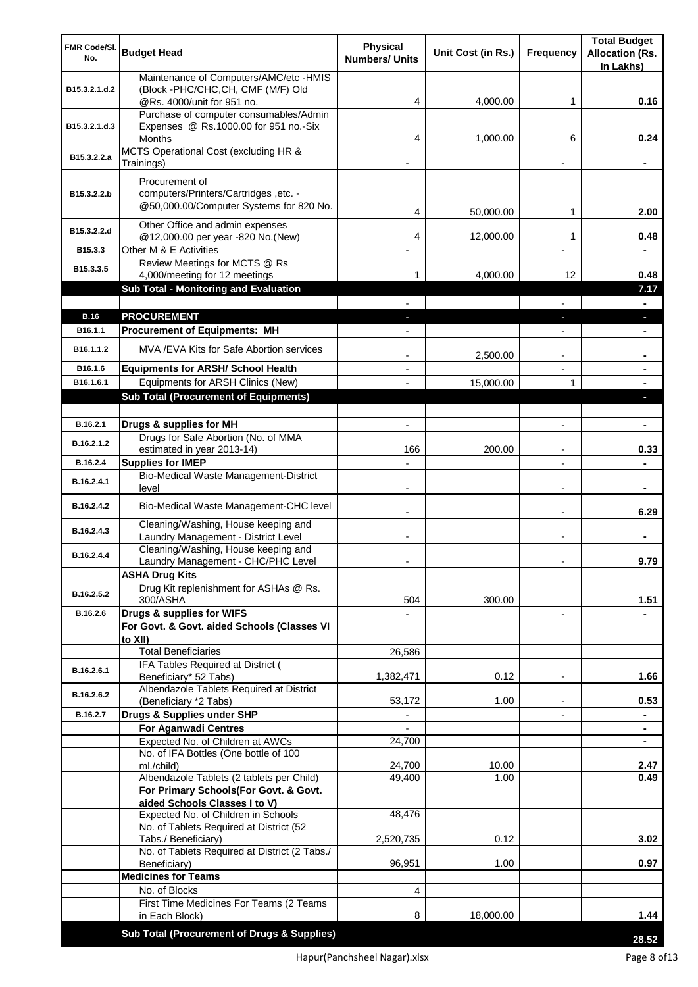| FMR Code/SI.<br>No.  | <b>Budget Head</b>                                                                                 | Physical<br><b>Numbers/ Units</b> | Unit Cost (in Rs.) | Frequency                      | <b>Total Budget</b><br><b>Allocation (Rs.</b><br>In Lakhs) |
|----------------------|----------------------------------------------------------------------------------------------------|-----------------------------------|--------------------|--------------------------------|------------------------------------------------------------|
| B15.3.2.1.d.2        | Maintenance of Computers/AMC/etc -HMIS<br>(Block -PHC/CHC, CH, CMF (M/F) Old                       |                                   |                    |                                |                                                            |
|                      | @Rs. 4000/unit for 951 no.<br>Purchase of computer consumables/Admin                               | 4                                 | 4,000.00           | 1                              | 0.16                                                       |
| B15.3.2.1.d.3        | Expenses @ Rs.1000.00 for 951 no.-Six                                                              |                                   |                    |                                |                                                            |
|                      | Months                                                                                             | 4                                 | 1,000.00           | 6                              | 0.24                                                       |
| B15.3.2.2.a          | MCTS Operational Cost (excluding HR &<br>Trainings)                                                |                                   |                    |                                |                                                            |
| B15.3.2.2.b          | Procurement of<br>computers/Printers/Cartridges, etc. -<br>@50,000.00/Computer Systems for 820 No. | 4                                 | 50,000.00          | 1                              | 2.00                                                       |
| B15.3.2.2.d          | Other Office and admin expenses                                                                    |                                   |                    |                                |                                                            |
| B15.3.3              | @12,000.00 per year -820 No.(New)<br>Other M & E Activities                                        | 4                                 | 12,000.00          | 1                              | 0.48                                                       |
| B15.3.3.5            | Review Meetings for MCTS @ Rs                                                                      |                                   |                    |                                |                                                            |
|                      | 4,000/meeting for 12 meetings                                                                      | 1                                 | 4,000.00           | 12                             | 0.48                                                       |
|                      | <b>Sub Total - Monitoring and Evaluation</b>                                                       |                                   |                    |                                | 7.17                                                       |
| <b>B.16</b>          | <b>PROCUREMENT</b>                                                                                 |                                   |                    |                                |                                                            |
| B16.1.1              | <b>Procurement of Equipments: MH</b>                                                               |                                   |                    |                                |                                                            |
| B16.1.1.2            | MVA/EVA Kits for Safe Abortion services                                                            |                                   |                    |                                |                                                            |
|                      |                                                                                                    |                                   | 2,500.00           | $\blacksquare$                 | ۰                                                          |
| B16.1.6<br>B16.1.6.1 | <b>Equipments for ARSH/ School Health</b><br>Equipments for ARSH Clinics (New)                     |                                   | 15,000.00          | $\blacksquare$<br>$\mathbf{1}$ | ۰                                                          |
|                      | <b>Sub Total (Procurement of Equipments)</b>                                                       |                                   |                    |                                | L.                                                         |
|                      |                                                                                                    |                                   |                    |                                |                                                            |
| B.16.2.1             | Drugs & supplies for MH                                                                            | $\overline{a}$                    |                    | $\overline{a}$                 | $\blacksquare$                                             |
| B.16.2.1.2           | Drugs for Safe Abortion (No. of MMA<br>estimated in year 2013-14)                                  | 166                               | 200.00             | $\blacksquare$                 | 0.33                                                       |
| B.16.2.4             | <b>Supplies for IMEP</b>                                                                           |                                   |                    | $\overline{a}$                 |                                                            |
| B.16.2.4.1           | <b>Bio-Medical Waste Management-District</b><br>level                                              |                                   |                    | $\overline{\phantom{a}}$       | ۰                                                          |
| B.16.2.4.2           | Bio-Medical Waste Management-CHC level                                                             |                                   |                    |                                | 6.29                                                       |
| B.16.2.4.3           | Cleaning/Washing, House keeping and<br>Laundry Management - District Level                         |                                   |                    |                                |                                                            |
| B.16.2.4.4           | Cleaning/Washing, House keeping and<br>Laundry Management - CHC/PHC Level                          |                                   |                    |                                | 9.79                                                       |
|                      | <b>ASHA Drug Kits</b>                                                                              |                                   |                    |                                |                                                            |
| B.16.2.5.2           | Drug Kit replenishment for ASHAs @ Rs.<br>300/ASHA                                                 | 504                               | 300.00             |                                | 1.51                                                       |
| B.16.2.6             | Drugs & supplies for WIFS                                                                          |                                   |                    | $\overline{\phantom{a}}$       |                                                            |
|                      | For Govt. & Govt. aided Schools (Classes VI<br>to XII)                                             |                                   |                    |                                |                                                            |
|                      | <b>Total Beneficiaries</b>                                                                         | 26,586                            |                    |                                |                                                            |
| B.16.2.6.1           | IFA Tables Required at District (<br>Beneficiary* 52 Tabs)                                         | 1,382,471                         | 0.12               |                                | 1.66                                                       |
| B.16.2.6.2           | Albendazole Tablets Required at District<br>(Beneficiary *2 Tabs)                                  | 53,172                            | 1.00               |                                | 0.53                                                       |
| B.16.2.7             | Drugs & Supplies under SHP                                                                         |                                   |                    |                                |                                                            |
|                      | <b>For Aganwadi Centres</b>                                                                        |                                   |                    |                                | ٠                                                          |
|                      | Expected No. of Children at AWCs                                                                   | 24,700                            |                    |                                | ٠                                                          |
|                      | No. of IFA Bottles (One bottle of 100<br>ml./child)                                                | 24,700                            | 10.00              |                                | 2.47                                                       |
|                      | Albendazole Tablets (2 tablets per Child)                                                          | 49,400                            | 1.00               |                                | 0.49                                                       |
|                      | For Primary Schools(For Govt. & Govt.                                                              |                                   |                    |                                |                                                            |
|                      | aided Schools Classes I to V)<br>Expected No. of Children in Schools                               | 48,476                            |                    |                                |                                                            |
|                      | No. of Tablets Required at District (52                                                            |                                   |                    |                                |                                                            |
|                      | Tabs./ Beneficiary)                                                                                | 2,520,735                         | 0.12               |                                | 3.02                                                       |
|                      | No. of Tablets Required at District (2 Tabs./<br>Beneficiary)                                      | 96,951                            | 1.00               |                                | 0.97                                                       |
|                      | <b>Medicines for Teams</b>                                                                         |                                   |                    |                                |                                                            |
|                      | No. of Blocks                                                                                      | 4                                 |                    |                                |                                                            |
|                      | First Time Medicines For Teams (2 Teams<br>in Each Block)                                          | 8                                 | 18,000.00          |                                | 1.44                                                       |
|                      |                                                                                                    |                                   |                    |                                |                                                            |
|                      | Sub Total (Procurement of Drugs & Supplies)                                                        |                                   |                    |                                | 28.52                                                      |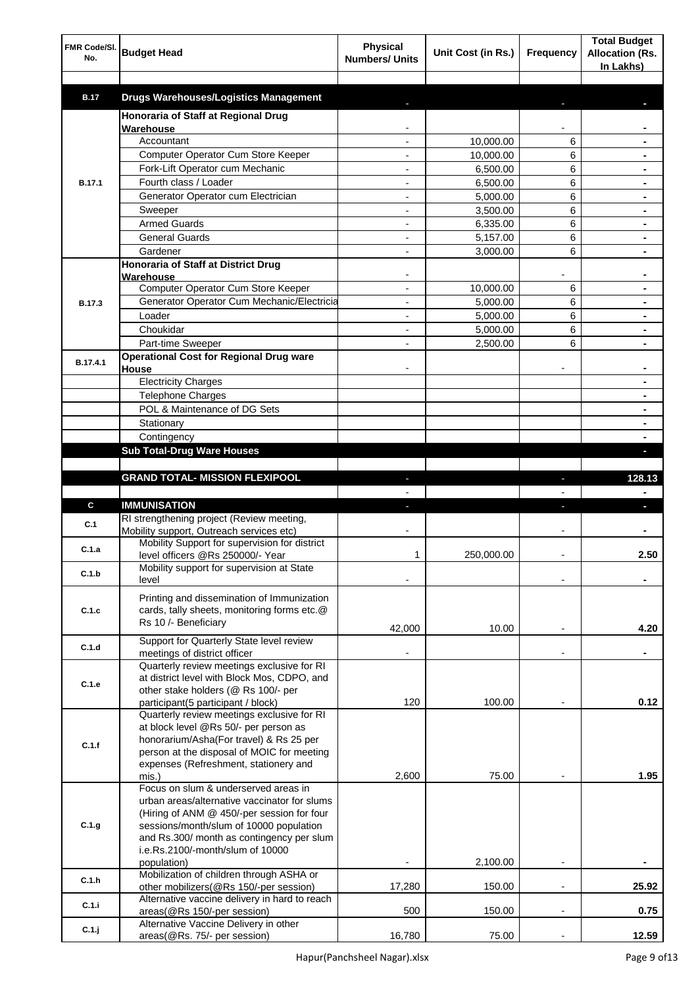| FMR Code/SI.<br>No. | <b>Budget Head</b>                                                                    | <b>Physical</b><br><b>Numbers/ Units</b> | Unit Cost (in Rs.) | Frequency      | <b>Total Budget</b><br><b>Allocation (Rs.</b><br>In Lakhs) |
|---------------------|---------------------------------------------------------------------------------------|------------------------------------------|--------------------|----------------|------------------------------------------------------------|
| <b>B.17</b>         | <b>Drugs Warehouses/Logistics Management</b>                                          |                                          |                    |                |                                                            |
|                     | Honoraria of Staff at Regional Drug                                                   |                                          |                    |                |                                                            |
|                     | Warehouse                                                                             |                                          |                    |                |                                                            |
|                     | Accountant                                                                            |                                          | 10,000.00          | 6              |                                                            |
|                     | Computer Operator Cum Store Keeper                                                    |                                          | 10,000.00          | 6              |                                                            |
|                     | Fork-Lift Operator cum Mechanic                                                       |                                          | 6,500.00           | 6              |                                                            |
| <b>B.17.1</b>       | Fourth class / Loader                                                                 |                                          | 6,500.00           | 6              |                                                            |
|                     | Generator Operator cum Electrician                                                    |                                          | 5,000.00           | 6              |                                                            |
|                     | Sweeper                                                                               |                                          | 3,500.00           | 6              |                                                            |
|                     | <b>Armed Guards</b>                                                                   |                                          | 6,335.00           | 6              |                                                            |
|                     | <b>General Guards</b>                                                                 |                                          | 5,157.00           | 6              |                                                            |
|                     | Gardener                                                                              |                                          | 3,000.00           | 6              |                                                            |
|                     | Honoraria of Staff at District Drug<br>Warehouse                                      |                                          |                    |                |                                                            |
|                     | Computer Operator Cum Store Keeper                                                    |                                          | 10.000.00          | 6              |                                                            |
| <b>B.17.3</b>       | Generator Operator Cum Mechanic/Electricia                                            |                                          | 5,000.00           | 6              |                                                            |
|                     | Loader                                                                                |                                          | 5,000.00           | 6              |                                                            |
|                     | Choukidar                                                                             |                                          | 5,000.00           | 6              |                                                            |
|                     | Part-time Sweeper                                                                     |                                          | 2,500.00           | 6              |                                                            |
| B.17.4.1            | <b>Operational Cost for Regional Drug ware</b><br>House                               |                                          |                    |                |                                                            |
|                     | <b>Electricity Charges</b>                                                            |                                          |                    |                | ۰                                                          |
|                     | <b>Telephone Charges</b>                                                              |                                          |                    |                | ۰                                                          |
|                     | POL & Maintenance of DG Sets                                                          |                                          |                    |                | ۰                                                          |
|                     | Stationary                                                                            |                                          |                    |                | ۰                                                          |
|                     | Contingency                                                                           |                                          |                    |                |                                                            |
|                     | <b>Sub Total-Drug Ware Houses</b>                                                     |                                          |                    |                |                                                            |
|                     |                                                                                       |                                          |                    |                |                                                            |
|                     | <b>GRAND TOTAL- MISSION FLEXIPOOL</b>                                                 |                                          |                    | ı              | 128.13                                                     |
|                     |                                                                                       |                                          |                    |                |                                                            |
| C                   | <b>IMMUNISATION</b>                                                                   |                                          |                    |                |                                                            |
| C.1                 | RI strengthening project (Review meeting,<br>Mobility support, Outreach services etc) |                                          |                    |                |                                                            |
| C.1.a               | Mobility Support for supervision for district                                         |                                          |                    |                |                                                            |
|                     | level officers @Rs 250000/- Year                                                      | 1                                        | 250,000.00         |                | 2.50                                                       |
| C.1.b               | Mobility support for supervision at State<br>level                                    |                                          |                    |                |                                                            |
|                     | Printing and dissemination of Immunization                                            |                                          |                    |                |                                                            |
| C.1.c               | cards, tally sheets, monitoring forms etc.@                                           |                                          |                    |                |                                                            |
|                     | Rs 10 /- Beneficiary                                                                  | 42,000                                   | 10.00              |                | 4.20                                                       |
|                     | Support for Quarterly State level review                                              |                                          |                    |                |                                                            |
| C.1.d               | meetings of district officer                                                          |                                          |                    | $\blacksquare$ |                                                            |
|                     | Quarterly review meetings exclusive for RI                                            |                                          |                    |                |                                                            |
| C.1.e               | at district level with Block Mos, CDPO, and                                           |                                          |                    |                |                                                            |
|                     | other stake holders (@ Rs 100/- per<br>participant(5 participant / block)             | 120                                      | 100.00             |                | 0.12                                                       |
|                     | Quarterly review meetings exclusive for RI                                            |                                          |                    |                |                                                            |
|                     | at block level @Rs 50/- per person as                                                 |                                          |                    |                |                                                            |
| C.1.f               | honorarium/Asha(For travel) & Rs 25 per                                               |                                          |                    |                |                                                            |
|                     | person at the disposal of MOIC for meeting                                            |                                          |                    |                |                                                            |
|                     | expenses (Refreshment, stationery and                                                 |                                          |                    |                |                                                            |
|                     | mis.)<br>Focus on slum & underserved areas in                                         | 2,600                                    | 75.00              |                | 1.95                                                       |
|                     | urban areas/alternative vaccinator for slums                                          |                                          |                    |                |                                                            |
|                     | (Hiring of ANM @ 450/-per session for four                                            |                                          |                    |                |                                                            |
| C.1.g               | sessions/month/slum of 10000 population                                               |                                          |                    |                |                                                            |
|                     | and Rs.300/ month as contingency per slum                                             |                                          |                    |                |                                                            |
|                     | i.e.Rs.2100/-month/slum of 10000                                                      |                                          |                    |                |                                                            |
|                     | population)                                                                           |                                          | 2,100.00           |                |                                                            |
| C.1.h               | Mobilization of children through ASHA or<br>other mobilizers(@Rs 150/-per session)    | 17,280                                   | 150.00             | $\overline{a}$ | 25.92                                                      |
|                     | Alternative vaccine delivery in hard to reach                                         |                                          |                    |                |                                                            |
| C.1.i               | areas(@Rs 150/-per session)                                                           | 500                                      | 150.00             | ÷,             | 0.75                                                       |
| C.1.j               | Alternative Vaccine Delivery in other                                                 |                                          |                    |                |                                                            |
|                     | areas(@Rs. 75/- per session)                                                          | 16,780                                   | 75.00              |                | 12.59                                                      |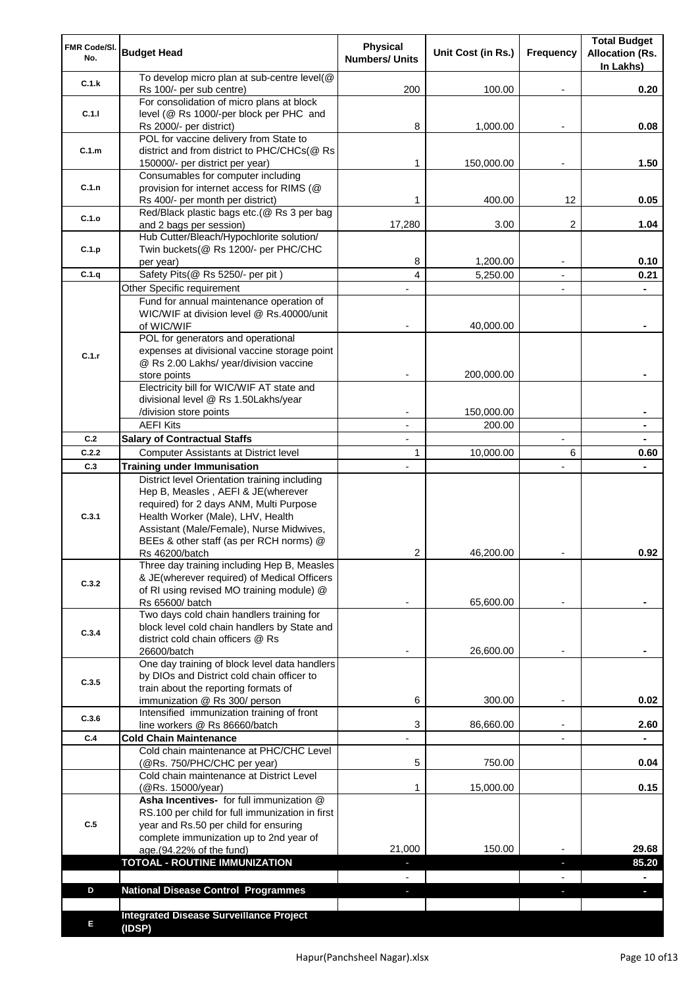| FMR Code/SI.<br>No. | <b>Budget Head</b>                                                                                                                                                              | <b>Physical</b><br><b>Numbers/ Units</b> | Unit Cost (in Rs.)   | Frequency                     | <b>Total Budget</b><br><b>Allocation (Rs.</b><br>In Lakhs) |
|---------------------|---------------------------------------------------------------------------------------------------------------------------------------------------------------------------------|------------------------------------------|----------------------|-------------------------------|------------------------------------------------------------|
| C.1.k               | To develop micro plan at sub-centre level(@<br>Rs 100/- per sub centre)                                                                                                         | 200                                      | 100.00               |                               | 0.20                                                       |
| C.1.1               | For consolidation of micro plans at block<br>level (@ Rs 1000/-per block per PHC and                                                                                            | 8                                        | 1,000.00             |                               | 0.08                                                       |
|                     | Rs 2000/- per district)<br>POL for vaccine delivery from State to                                                                                                               |                                          |                      |                               |                                                            |
| C.1.m               | district and from district to PHC/CHCs(@ Rs<br>150000/- per district per year)                                                                                                  | 1                                        | 150,000.00           |                               | 1.50                                                       |
| C.1.n               | Consumables for computer including<br>provision for internet access for RIMS (@<br>Rs 400/- per month per district)                                                             | 1                                        | 400.00               | 12                            | 0.05                                                       |
| C.1.o               | Red/Black plastic bags etc.(@ Rs 3 per bag<br>and 2 bags per session)                                                                                                           | 17,280                                   | 3.00                 | 2                             | 1.04                                                       |
| C.1.p               | Hub Cutter/Bleach/Hypochlorite solution/<br>Twin buckets(@ Rs 1200/- per PHC/CHC                                                                                                |                                          |                      |                               |                                                            |
| C.1.q               | per year)<br>Safety Pits(@ Rs 5250/- per pit)                                                                                                                                   | 8<br>4                                   | 1,200.00<br>5,250.00 |                               | 0.10<br>0.21                                               |
|                     | Other Specific requirement                                                                                                                                                      |                                          |                      | $\blacksquare$                |                                                            |
|                     | Fund for annual maintenance operation of                                                                                                                                        |                                          |                      |                               |                                                            |
|                     | WIC/WIF at division level @ Rs.40000/unit                                                                                                                                       |                                          |                      |                               |                                                            |
|                     | of WIC/WIF                                                                                                                                                                      |                                          | 40,000.00            |                               |                                                            |
|                     | POL for generators and operational                                                                                                                                              |                                          |                      |                               |                                                            |
| C.1.r               | expenses at divisional vaccine storage point<br>@ Rs 2.00 Lakhs/ year/division vaccine                                                                                          |                                          |                      |                               |                                                            |
|                     | store points                                                                                                                                                                    |                                          | 200,000.00           |                               |                                                            |
|                     | Electricity bill for WIC/WIF AT state and                                                                                                                                       |                                          |                      |                               |                                                            |
|                     | divisional level @ Rs 1.50Lakhs/year                                                                                                                                            |                                          |                      |                               |                                                            |
|                     | /division store points                                                                                                                                                          |                                          | 150,000.00           |                               |                                                            |
| C.2                 | <b>AEFI Kits</b>                                                                                                                                                                | $\overline{a}$                           | 200.00               |                               |                                                            |
| C.2.2               | <b>Salary of Contractual Staffs</b><br>Computer Assistants at District level                                                                                                    | $\blacksquare$<br>$\mathbf{1}$           | 10,000.00            | $\overline{\phantom{a}}$<br>6 | ۰<br>0.60                                                  |
| C.3                 | <b>Training under Immunisation</b>                                                                                                                                              | $\overline{a}$                           |                      |                               |                                                            |
|                     | District level Orientation training including                                                                                                                                   |                                          |                      |                               |                                                            |
| C.3.1               | Hep B, Measles, AEFI & JE(wherever<br>required) for 2 days ANM, Multi Purpose<br>Health Worker (Male), LHV, Health<br>Assistant (Male/Female), Nurse Midwives,                  |                                          |                      |                               |                                                            |
|                     | BEEs & other staff (as per RCH norms) @                                                                                                                                         |                                          |                      |                               |                                                            |
|                     | Rs 46200/batch<br>Three day training including Hep B, Measles                                                                                                                   | 2                                        | 46,200.00            |                               | 0.92                                                       |
| C.3.2               | & JE(wherever required) of Medical Officers<br>of RI using revised MO training module) @                                                                                        |                                          |                      |                               |                                                            |
|                     | Rs 65600/ batch<br>Two days cold chain handlers training for                                                                                                                    |                                          | 65,600.00            |                               |                                                            |
| C.3.4               | block level cold chain handlers by State and<br>district cold chain officers @ Rs<br>26600/batch                                                                                |                                          | 26,600.00            |                               |                                                            |
|                     | One day training of block level data handlers                                                                                                                                   |                                          |                      |                               |                                                            |
| C.3.5               | by DIOs and District cold chain officer to                                                                                                                                      |                                          |                      |                               |                                                            |
|                     | train about the reporting formats of                                                                                                                                            |                                          |                      |                               | 0.02                                                       |
|                     | immunization @ Rs 300/ person<br>Intensified immunization training of front                                                                                                     | 6                                        | 300.00               | $\overline{\phantom{a}}$      |                                                            |
| C.3.6               | line workers @ Rs 86660/batch                                                                                                                                                   | 3                                        | 86,660.00            | $\blacksquare$                | 2.60                                                       |
| C.4                 | <b>Cold Chain Maintenance</b>                                                                                                                                                   |                                          |                      |                               |                                                            |
|                     | Cold chain maintenance at PHC/CHC Level<br>(@Rs. 750/PHC/CHC per year)                                                                                                          | 5                                        | 750.00               |                               | 0.04                                                       |
|                     | Cold chain maintenance at District Level<br>(@Rs. 15000/year)                                                                                                                   | 1                                        | 15,000.00            |                               | 0.15                                                       |
| C.5                 | Asha Incentives- for full immunization @<br>RS.100 per child for full immunization in first<br>year and Rs.50 per child for ensuring<br>complete immunization up to 2nd year of |                                          |                      |                               |                                                            |
|                     | age.(94.22% of the fund)                                                                                                                                                        | 21,000                                   | 150.00               |                               | 29.68                                                      |
|                     | <b>TOTOAL - ROUTINE IMMUNIZATION</b>                                                                                                                                            |                                          |                      |                               | 85.20                                                      |
|                     |                                                                                                                                                                                 |                                          |                      |                               |                                                            |
| D                   | <b>National Disease Control Programmes</b>                                                                                                                                      |                                          |                      |                               |                                                            |
|                     |                                                                                                                                                                                 |                                          |                      |                               |                                                            |
| Е                   | <b>Integrated Disease Surveillance Project</b><br>(IDSP)                                                                                                                        |                                          |                      |                               |                                                            |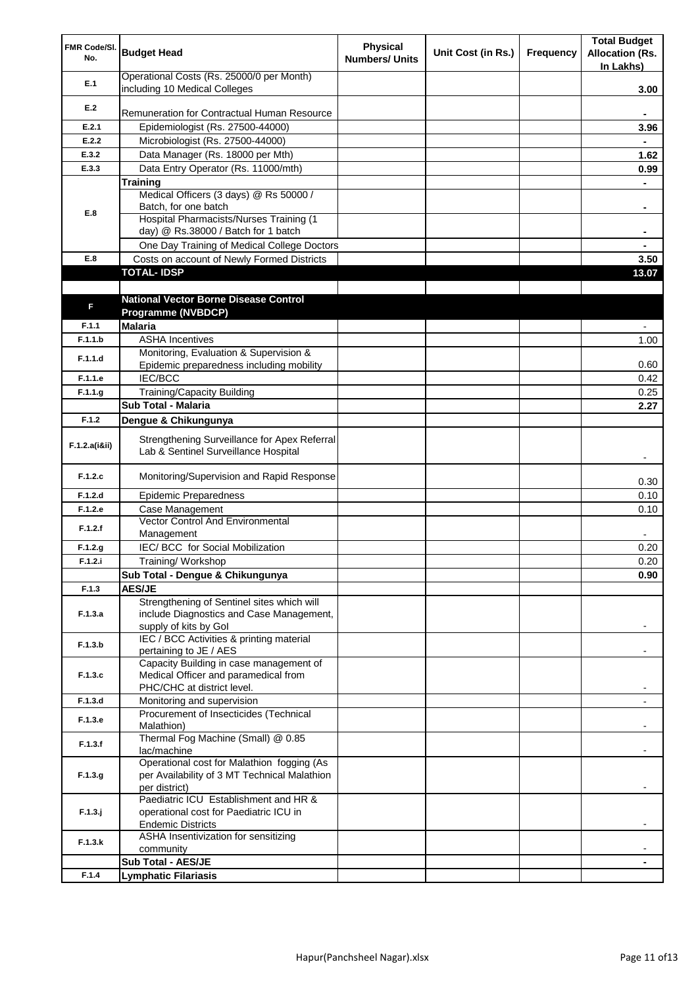| FMR Code/SI.<br>No. | <b>Budget Head</b>                                                                   | <b>Physical</b><br><b>Numbers/ Units</b> | Unit Cost (in Rs.) | Frequency | <b>Total Budget</b><br><b>Allocation (Rs.</b><br>In Lakhs) |
|---------------------|--------------------------------------------------------------------------------------|------------------------------------------|--------------------|-----------|------------------------------------------------------------|
| E.1                 | Operational Costs (Rs. 25000/0 per Month)<br>including 10 Medical Colleges           |                                          |                    |           | 3.00                                                       |
| E.2                 |                                                                                      |                                          |                    |           |                                                            |
|                     | Remuneration for Contractual Human Resource                                          |                                          |                    |           |                                                            |
| E.2.1               | Epidemiologist (Rs. 27500-44000)                                                     |                                          |                    |           | 3.96                                                       |
| E.2.2               | Microbiologist (Rs. 27500-44000)                                                     |                                          |                    |           |                                                            |
| E.3.2               | Data Manager (Rs. 18000 per Mth)                                                     |                                          |                    |           | 1.62                                                       |
| E.3.3               | Data Entry Operator (Rs. 11000/mth)                                                  |                                          |                    |           | 0.99                                                       |
|                     | <b>Training</b><br>Medical Officers (3 days) @ Rs 50000 /                            |                                          |                    |           |                                                            |
|                     | Batch, for one batch                                                                 |                                          |                    |           | ۰                                                          |
| E.8                 | Hospital Pharmacists/Nurses Training (1                                              |                                          |                    |           |                                                            |
|                     | day) @ Rs.38000 / Batch for 1 batch                                                  |                                          |                    |           |                                                            |
|                     | One Day Training of Medical College Doctors                                          |                                          |                    |           |                                                            |
| E.8                 | Costs on account of Newly Formed Districts                                           |                                          |                    |           | 3.50                                                       |
|                     | <b>TOTAL-IDSP</b>                                                                    |                                          |                    |           | 13.07                                                      |
|                     |                                                                                      |                                          |                    |           |                                                            |
| F                   | <b>National Vector Borne Disease Control</b>                                         |                                          |                    |           |                                                            |
|                     | Programme (NVBDCP)                                                                   |                                          |                    |           |                                                            |
| F.1.1               | <b>Malaria</b>                                                                       |                                          |                    |           |                                                            |
| F.1.1.b             | <b>ASHA Incentives</b>                                                               |                                          |                    |           | 1.00                                                       |
| F.1.1.d             | Monitoring, Evaluation & Supervision &                                               |                                          |                    |           |                                                            |
|                     | Epidemic preparedness including mobility                                             |                                          |                    |           | 0.60                                                       |
| F.1.1.e             | <b>IEC/BCC</b>                                                                       |                                          |                    |           | 0.42                                                       |
| F.1.1.g             | <b>Training/Capacity Building</b><br>Sub Total - Malaria                             |                                          |                    |           | 0.25                                                       |
|                     |                                                                                      |                                          |                    |           | 2.27                                                       |
| F.1.2               | Dengue & Chikungunya                                                                 |                                          |                    |           |                                                            |
| F.1.2.a(iⅈ)         | Strengthening Surveillance for Apex Referral<br>Lab & Sentinel Surveillance Hospital |                                          |                    |           |                                                            |
| F.1.2.c             | Monitoring/Supervision and Rapid Response                                            |                                          |                    |           | 0.30                                                       |
| F.1.2.d             | <b>Epidemic Preparedness</b>                                                         |                                          |                    |           | 0.10                                                       |
| F.1.2.e             | Case Management                                                                      |                                          |                    |           | 0.10                                                       |
| F.1.2.f             | <b>Vector Control And Environmental</b><br>Management                                |                                          |                    |           |                                                            |
| F.1.2.g             | IEC/ BCC for Social Mobilization                                                     |                                          |                    |           | 0.20                                                       |
| F.1.2.i             | Training/Workshop                                                                    |                                          |                    |           | 0.20                                                       |
|                     | Sub Total - Dengue & Chikungunya                                                     |                                          |                    |           | 0.90                                                       |
| F.1.3               | <b>AES/JE</b>                                                                        |                                          |                    |           |                                                            |
|                     | Strengthening of Sentinel sites which will                                           |                                          |                    |           |                                                            |
| F.1.3.a             | include Diagnostics and Case Management,<br>supply of kits by Gol                    |                                          |                    |           |                                                            |
|                     | IEC / BCC Activities & printing material                                             |                                          |                    |           |                                                            |
| F.1.3.b             | pertaining to JE / AES                                                               |                                          |                    |           |                                                            |
|                     | Capacity Building in case management of                                              |                                          |                    |           |                                                            |
| F.1.3.c             | Medical Officer and paramedical from                                                 |                                          |                    |           |                                                            |
|                     | PHC/CHC at district level.                                                           |                                          |                    |           |                                                            |
| F.1.3.d             | Monitoring and supervision                                                           |                                          |                    |           |                                                            |
| F.1.3.e             | Procurement of Insecticides (Technical<br>Malathion)                                 |                                          |                    |           |                                                            |
| F.1.3.f             | Thermal Fog Machine (Small) @ 0.85                                                   |                                          |                    |           |                                                            |
|                     | lac/machine                                                                          |                                          |                    |           |                                                            |
|                     | Operational cost for Malathion fogging (As                                           |                                          |                    |           |                                                            |
| F.1.3.g             | per Availability of 3 MT Technical Malathion                                         |                                          |                    |           |                                                            |
|                     | per district)<br>Paediatric ICU Establishment and HR &                               |                                          |                    |           |                                                            |
| $F.1.3.$ j          | operational cost for Paediatric ICU in                                               |                                          |                    |           |                                                            |
|                     | <b>Endemic Districts</b>                                                             |                                          |                    |           |                                                            |
|                     | ASHA Insentivization for sensitizing                                                 |                                          |                    |           |                                                            |
| F.1.3.k             | community                                                                            |                                          |                    |           |                                                            |
|                     | Sub Total - AES/JE                                                                   |                                          |                    |           |                                                            |
| F.1.4               | <b>Lymphatic Filariasis</b>                                                          |                                          |                    |           |                                                            |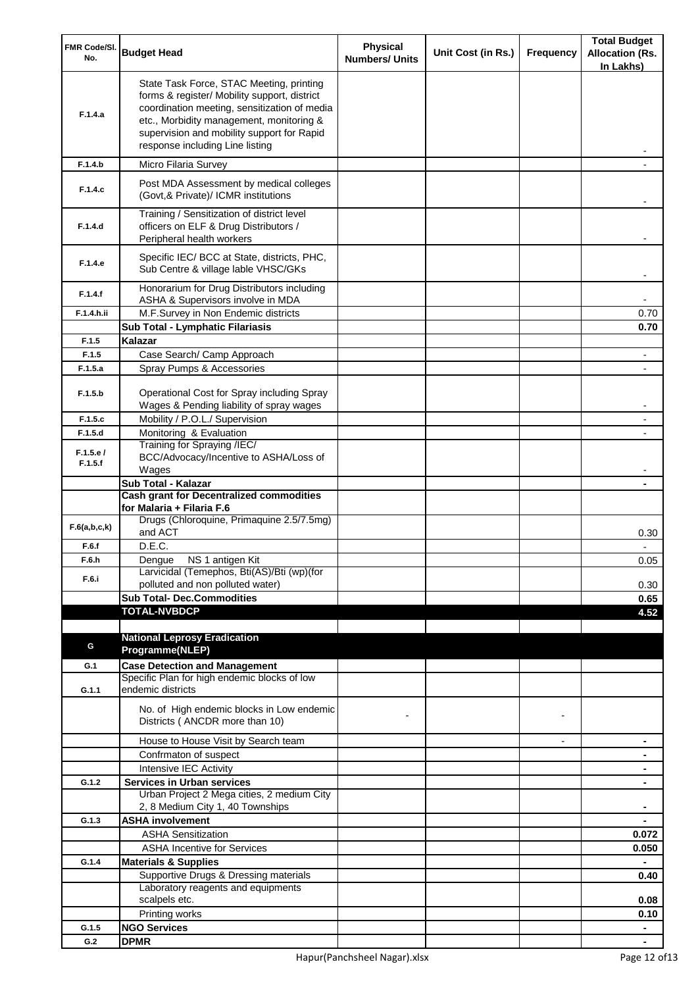| FMR Code/SI.<br>No. | <b>Budget Head</b>                                                                                                                                                                                                                                                    | Physical<br><b>Numbers/ Units</b> | Unit Cost (in Rs.) | Frequency      | <b>Total Budget</b><br><b>Allocation (Rs.</b><br>In Lakhs) |
|---------------------|-----------------------------------------------------------------------------------------------------------------------------------------------------------------------------------------------------------------------------------------------------------------------|-----------------------------------|--------------------|----------------|------------------------------------------------------------|
| F.1.4.a             | State Task Force, STAC Meeting, printing<br>forms & register/ Mobility support, district<br>coordination meeting, sensitization of media<br>etc., Morbidity management, monitoring &<br>supervision and mobility support for Rapid<br>response including Line listing |                                   |                    |                |                                                            |
| F.1.4.b             | Micro Filaria Survey                                                                                                                                                                                                                                                  |                                   |                    |                |                                                            |
| F.1.4.c             | Post MDA Assessment by medical colleges<br>(Govt, & Private)/ ICMR institutions                                                                                                                                                                                       |                                   |                    |                |                                                            |
| F.1.4.d             | Training / Sensitization of district level<br>officers on ELF & Drug Distributors /<br>Peripheral health workers                                                                                                                                                      |                                   |                    |                |                                                            |
| F.1.4.e             | Specific IEC/ BCC at State, districts, PHC,<br>Sub Centre & village lable VHSC/GKs                                                                                                                                                                                    |                                   |                    |                |                                                            |
| F.1.4.f             | Honorarium for Drug Distributors including<br>ASHA & Supervisors involve in MDA                                                                                                                                                                                       |                                   |                    |                |                                                            |
| F.1.4.h.ii          | M.F.Survey in Non Endemic districts                                                                                                                                                                                                                                   |                                   |                    |                | 0.70                                                       |
|                     | Sub Total - Lymphatic Filariasis                                                                                                                                                                                                                                      |                                   |                    |                | 0.70                                                       |
| F.1.5               | Kalazar                                                                                                                                                                                                                                                               |                                   |                    |                |                                                            |
| F.1.5               | Case Search/ Camp Approach                                                                                                                                                                                                                                            |                                   |                    |                |                                                            |
| F.1.5.a             | Spray Pumps & Accessories                                                                                                                                                                                                                                             |                                   |                    |                |                                                            |
| F.1.5.b             | Operational Cost for Spray including Spray<br>Wages & Pending liability of spray wages                                                                                                                                                                                |                                   |                    |                |                                                            |
| F.1.5.c             | Mobility / P.O.L./ Supervision                                                                                                                                                                                                                                        |                                   |                    |                |                                                            |
| F.1.5.d             | Monitoring & Evaluation                                                                                                                                                                                                                                               |                                   |                    |                |                                                            |
| F.1.5.e/            | Training for Spraying /IEC/                                                                                                                                                                                                                                           |                                   |                    |                |                                                            |
| F.1.5.f             | BCC/Advocacy/Incentive to ASHA/Loss of                                                                                                                                                                                                                                |                                   |                    |                |                                                            |
|                     | Wages                                                                                                                                                                                                                                                                 |                                   |                    |                |                                                            |
|                     | Sub Total - Kalazar<br><b>Cash grant for Decentralized commodities</b>                                                                                                                                                                                                |                                   |                    |                |                                                            |
|                     | for Malaria + Filaria F.6                                                                                                                                                                                                                                             |                                   |                    |                |                                                            |
| F.6(a,b,c,k)        | Drugs (Chloroquine, Primaquine 2.5/7.5mg)<br>and ACT                                                                                                                                                                                                                  |                                   |                    |                | 0.30                                                       |
| F.6.f               | D.E.C.                                                                                                                                                                                                                                                                |                                   |                    |                |                                                            |
| F.6.h               | Dengue NS 1 antigen Kit                                                                                                                                                                                                                                               |                                   |                    |                | 0.05                                                       |
| F.6.i               | Larvicidal (Temephos, Bti(AS)/Bti (wp)(for                                                                                                                                                                                                                            |                                   |                    |                |                                                            |
|                     | polluted and non polluted water)<br><b>Sub Total- Dec.Commodities</b>                                                                                                                                                                                                 |                                   |                    |                | 0.30                                                       |
|                     | <b>TOTAL-NVBDCP</b>                                                                                                                                                                                                                                                   |                                   |                    |                | 0.65<br>4.52                                               |
|                     |                                                                                                                                                                                                                                                                       |                                   |                    |                |                                                            |
|                     | <b>National Leprosy Eradication</b>                                                                                                                                                                                                                                   |                                   |                    |                |                                                            |
| G                   | Programme(NLEP)                                                                                                                                                                                                                                                       |                                   |                    |                |                                                            |
| G.1                 | <b>Case Detection and Management</b>                                                                                                                                                                                                                                  |                                   |                    |                |                                                            |
|                     | Specific Plan for high endemic blocks of low                                                                                                                                                                                                                          |                                   |                    |                |                                                            |
| G.1.1               | endemic districts                                                                                                                                                                                                                                                     |                                   |                    |                |                                                            |
|                     | No. of High endemic blocks in Low endemic<br>Districts (ANCDR more than 10)                                                                                                                                                                                           |                                   |                    |                |                                                            |
|                     | House to House Visit by Search team                                                                                                                                                                                                                                   |                                   |                    | $\blacksquare$ | ۰                                                          |
|                     | Confrmaton of suspect                                                                                                                                                                                                                                                 |                                   |                    |                | ۰                                                          |
|                     | Intensive IEC Activity                                                                                                                                                                                                                                                |                                   |                    |                | ۰                                                          |
| G.1.2               | <b>Services in Urban services</b>                                                                                                                                                                                                                                     |                                   |                    |                | ۰                                                          |
|                     | Urban Project 2 Mega cities, 2 medium City                                                                                                                                                                                                                            |                                   |                    |                |                                                            |
|                     | 2, 8 Medium City 1, 40 Townships                                                                                                                                                                                                                                      |                                   |                    |                |                                                            |
| G.1.3               | <b>ASHA involvement</b>                                                                                                                                                                                                                                               |                                   |                    |                |                                                            |
|                     | <b>ASHA Sensitization</b>                                                                                                                                                                                                                                             |                                   |                    |                | 0.072                                                      |
|                     | <b>ASHA Incentive for Services</b>                                                                                                                                                                                                                                    |                                   |                    |                | 0.050                                                      |
| G.1.4               | <b>Materials &amp; Supplies</b>                                                                                                                                                                                                                                       |                                   |                    |                |                                                            |
|                     | Supportive Drugs & Dressing materials                                                                                                                                                                                                                                 |                                   |                    |                | 0.40                                                       |
|                     | Laboratory reagents and equipments<br>scalpels etc.                                                                                                                                                                                                                   |                                   |                    |                | 0.08                                                       |
|                     | Printing works                                                                                                                                                                                                                                                        |                                   |                    |                | 0.10                                                       |
| G.1.5               | <b>NGO Services</b>                                                                                                                                                                                                                                                   |                                   |                    |                | $\blacksquare$                                             |
| G.2                 | <b>DPMR</b>                                                                                                                                                                                                                                                           |                                   |                    |                |                                                            |